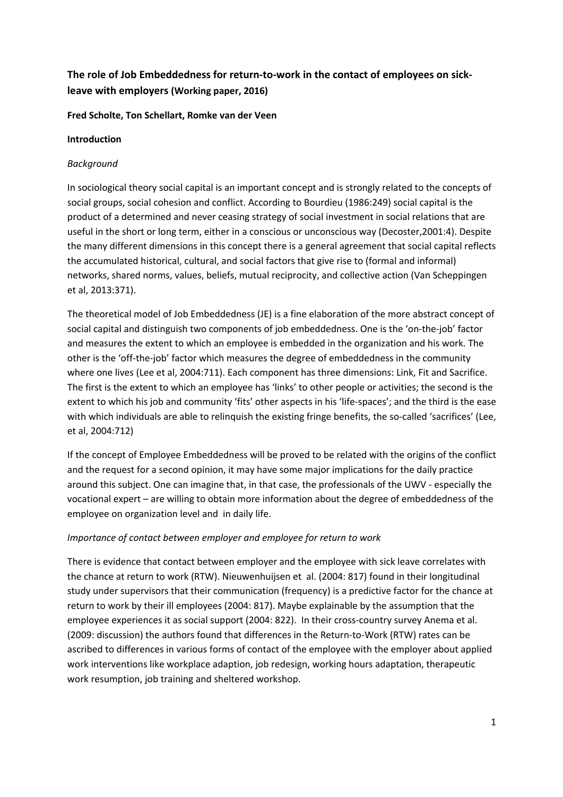# **The role of Job Embeddedness for return-to-work in the contact of employees on sickleave with employers (Working paper, 2016)**

## **Fred Scholte, Ton Schellart, Romke van der Veen**

## **Introduction**

## *Background*

In sociological theory social capital is an important concept and is strongly related to the concepts of social groups, social cohesion and conflict. According to Bourdieu (1986:249) social capital is the product of a determined and never ceasing strategy of social investment in social relations that are useful in the short or long term, either in a conscious or unconscious way (Decoster,2001:4). Despite the many different dimensions in this concept there is a general agreement that social capital reflects the accumulated historical, cultural, and social factors that give rise to (formal and informal) networks, shared norms, values, beliefs, mutual reciprocity, and collective action (Van Scheppingen et al, 2013:371).

The theoretical model of Job Embeddedness (JE) is a fine elaboration of the more abstract concept of social capital and distinguish two components of job embeddedness. One is the 'on-the-job' factor and measures the extent to which an employee is embedded in the organization and his work. The other is the 'off-the-job' factor which measures the degree of embeddedness in the community where one lives (Lee et al, 2004:711). Each component has three dimensions: Link, Fit and Sacrifice. The first is the extent to which an employee has 'links' to other people or activities; the second is the extent to which his job and community 'fits' other aspects in his 'life-spaces'; and the third is the ease with which individuals are able to relinquish the existing fringe benefits, the so-called 'sacrifices' (Lee, et al, 2004:712)

If the concept of Employee Embeddedness will be proved to be related with the origins of the conflict and the request for a second opinion, it may have some major implications for the daily practice around this subject. One can imagine that, in that case, the professionals of the UWV - especially the vocational expert – are willing to obtain more information about the degree of embeddedness of the employee on organization level and in daily life.

## *Importance of contact between employer and employee for return to work*

There is evidence that contact between employer and the employee with sick leave correlates with the chance at return to work (RTW). Nieuwenhuijsen et al. (2004: 817) found in their longitudinal study under supervisors that their communication (frequency) is a predictive factor for the chance at return to work by their ill employees (2004: 817). Maybe explainable by the assumption that the employee experiences it as social support (2004: 822). In their cross-country survey Anema et al. (2009: discussion) the authors found that differences in the Return-to-Work (RTW) rates can be ascribed to differences in various forms of contact of the employee with the employer about applied work interventions like workplace adaption, job redesign, working hours adaptation, therapeutic work resumption, job training and sheltered workshop.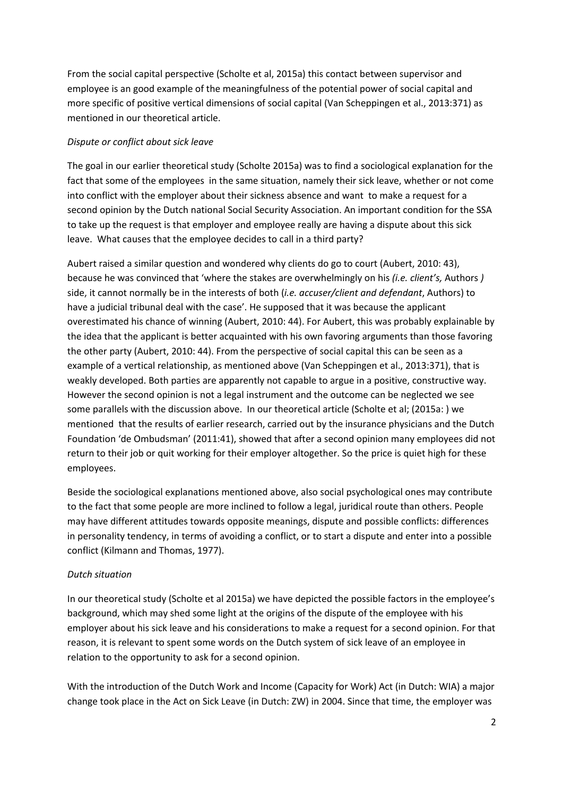From the social capital perspective (Scholte et al, 2015a) this contact between supervisor and employee is an good example of the meaningfulness of the potential power of social capital and more specific of positive vertical dimensions of social capital (Van Scheppingen et al., 2013:371) as mentioned in our theoretical article.

## *Dispute or conflict about sick leave*

The goal in our earlier theoretical study (Scholte 2015a) was to find a sociological explanation for the fact that some of the employees in the same situation, namely their sick leave, whether or not come into conflict with the employer about their sickness absence and want to make a request for a second opinion by the Dutch national Social Security Association. An important condition for the SSA to take up the request is that employer and employee really are having a dispute about this sick leave. What causes that the employee decides to call in a third party?

Aubert raised a similar question and wondered why clients do go to court (Aubert, 2010: 43), because he was convinced that 'where the stakes are overwhelmingly on his *(i.e. client's,* Authors *)* side, it cannot normally be in the interests of both (*i.e. accuser/client and defendant*, Authors) to have a judicial tribunal deal with the case'. He supposed that it was because the applicant overestimated his chance of winning (Aubert, 2010: 44). For Aubert, this was probably explainable by the idea that the applicant is better acquainted with his own favoring arguments than those favoring the other party (Aubert, 2010: 44). From the perspective of social capital this can be seen as a example of a vertical relationship, as mentioned above (Van Scheppingen et al., 2013:371), that is weakly developed. Both parties are apparently not capable to argue in a positive, constructive way. However the second opinion is not a legal instrument and the outcome can be neglected we see some parallels with the discussion above. In our theoretical article (Scholte et al; (2015a: ) we mentioned that the results of earlier research, carried out by the insurance physicians and the Dutch Foundation 'de Ombudsman' (2011:41), showed that after a second opinion many employees did not return to their job or quit working for their employer altogether. So the price is quiet high for these employees.

Beside the sociological explanations mentioned above, also social psychological ones may contribute to the fact that some people are more inclined to follow a legal, juridical route than others. People may have different attitudes towards opposite meanings, dispute and possible conflicts: differences in personality tendency, in terms of avoiding a conflict, or to start a dispute and enter into a possible conflict (Kilmann and Thomas, 1977).

## *Dutch situation*

In our theoretical study (Scholte et al 2015a) we have depicted the possible factors in the employee's background, which may shed some light at the origins of the dispute of the employee with his employer about his sick leave and his considerations to make a request for a second opinion. For that reason, it is relevant to spent some words on the Dutch system of sick leave of an employee in relation to the opportunity to ask for a second opinion.

With the introduction of the Dutch Work and Income (Capacity for Work) Act (in Dutch: WIA) a major change took place in the Act on Sick Leave (in Dutch: ZW) in 2004. Since that time, the employer was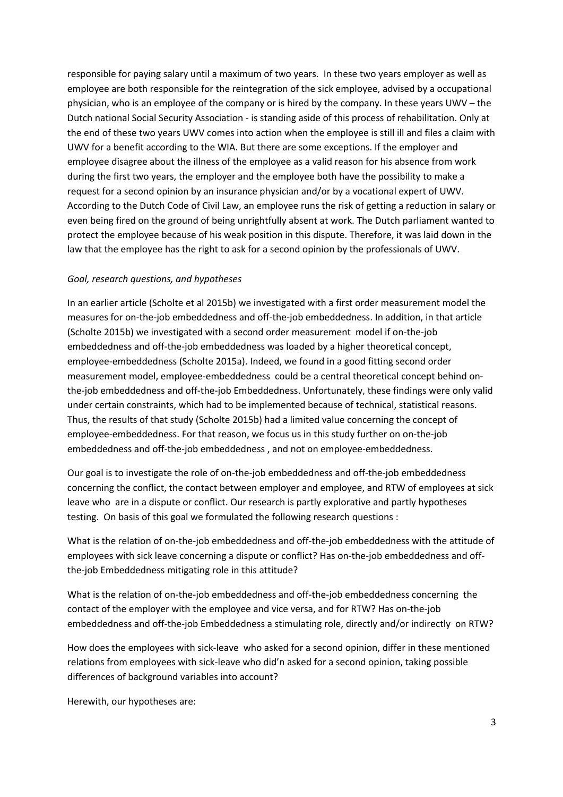responsible for paying salary until a maximum of two years. In these two years employer as well as employee are both responsible for the reintegration of the sick employee, advised by a occupational physician, who is an employee of the company or is hired by the company. In these years UWV – the Dutch national Social Security Association - is standing aside of this process of rehabilitation. Only at the end of these two years UWV comes into action when the employee is still ill and files a claim with UWV for a benefit according to the WIA. But there are some exceptions. If the employer and employee disagree about the illness of the employee as a valid reason for his absence from work during the first two years, the employer and the employee both have the possibility to make a request for a second opinion by an insurance physician and/or by a vocational expert of UWV. According to the Dutch Code of Civil Law, an employee runs the risk of getting a reduction in salary or even being fired on the ground of being unrightfully absent at work. The Dutch parliament wanted to protect the employee because of his weak position in this dispute. Therefore, it was laid down in the law that the employee has the right to ask for a second opinion by the professionals of UWV.

### *Goal, research questions, and hypotheses*

In an earlier article (Scholte et al 2015b) we investigated with a first order measurement model the measures for on-the-job embeddedness and off-the-job embeddedness. In addition, in that article (Scholte 2015b) we investigated with a second order measurement model if on-the-job embeddedness and off-the-job embeddedness was loaded by a higher theoretical concept, employee-embeddedness (Scholte 2015a). Indeed, we found in a good fitting second order measurement model, employee-embeddedness could be a central theoretical concept behind onthe-job embeddedness and off-the-job Embeddedness. Unfortunately, these findings were only valid under certain constraints, which had to be implemented because of technical, statistical reasons. Thus, the results of that study (Scholte 2015b) had a limited value concerning the concept of employee-embeddedness. For that reason, we focus us in this study further on on-the-job embeddedness and off-the-job embeddedness , and not on employee-embeddedness.

Our goal is to investigate the role of on-the-job embeddedness and off-the-job embeddedness concerning the conflict, the contact between employer and employee, and RTW of employees at sick leave who are in a dispute or conflict. Our research is partly explorative and partly hypotheses testing. On basis of this goal we formulated the following research questions :

What is the relation of on-the-job embeddedness and off-the-job embeddedness with the attitude of employees with sick leave concerning a dispute or conflict? Has on-the-job embeddedness and offthe-job Embeddedness mitigating role in this attitude?

What is the relation of on-the-job embeddedness and off-the-job embeddedness concerning the contact of the employer with the employee and vice versa, and for RTW? Has on-the-job embeddedness and off-the-job Embeddedness a stimulating role, directly and/or indirectly on RTW?

How does the employees with sick-leave who asked for a second opinion, differ in these mentioned relations from employees with sick-leave who did'n asked for a second opinion, taking possible differences of background variables into account?

Herewith, our hypotheses are: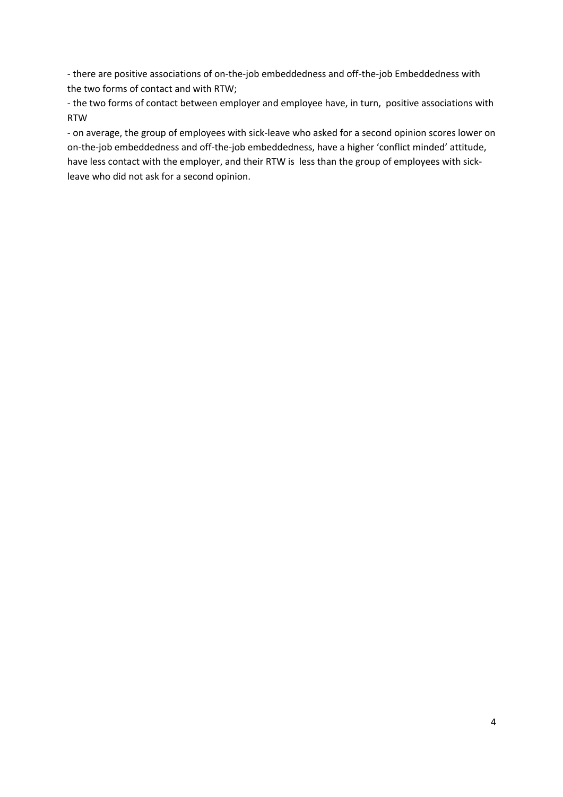- there are positive associations of on-the-job embeddedness and off-the-job Embeddedness with the two forms of contact and with RTW;

- the two forms of contact between employer and employee have, in turn, positive associations with RTW

- on average, the group of employees with sick-leave who asked for a second opinion scores lower on on-the-job embeddedness and off-the-job embeddedness, have a higher 'conflict minded' attitude, have less contact with the employer, and their RTW is less than the group of employees with sickleave who did not ask for a second opinion.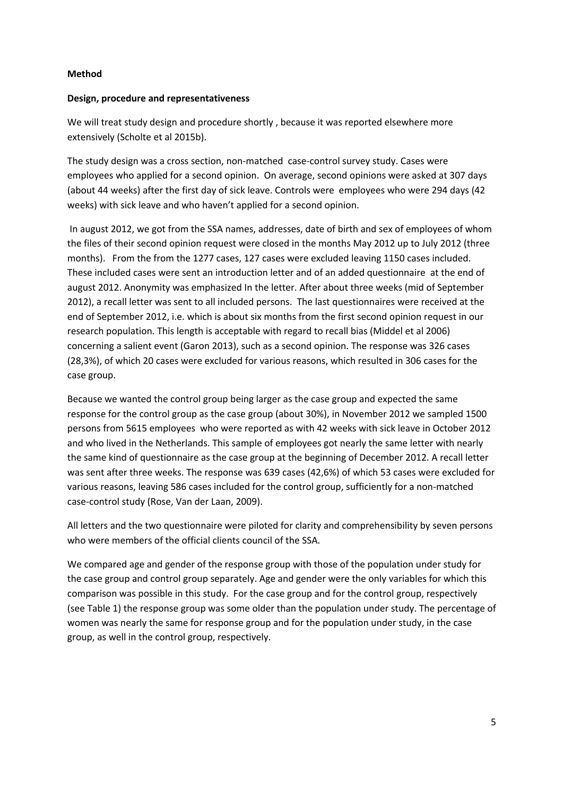### **Method**

### **Design, procedure and representativeness**

We will treat study design and procedure shortly , because it was reported elsewhere more extensively (Scholte et al 2015b).

The study design was a cross section, non-matched case-control survey study. Cases were employees who applied for a second opinion. On average, second opinions were asked at 307 days (about 44 weeks) after the first day of sick leave. Controls were employees who were 294 days (42 weeks) with sick leave and who haven't applied for a second opinion.

In august 2012, we got from the SSA names, addresses, date of birth and sex of employees of whom the files of their second opinion request were closed in the months May 2012 up to July 2012 (three months). From the from the 1277 cases, 127 cases were excluded leaving 1150 cases included. These included cases were sent an introduction letter and of an added questionnaire at the end of august 2012. Anonymity was emphasized In the letter. After about three weeks (mid of September 2012), a recall letter was sent to all included persons. The last questionnaires were received at the end of September 2012, i.e. which is about six months from the first second opinion request in our research population. This length is acceptable with regard to recall bias (Middel et al 2006) concerning a salient event (Garon 2013), such as a second opinion. The response was 326 cases (28,3%), of which 20 cases were excluded for various reasons, which resulted in 306 cases for the case group.

Because we wanted the control group being larger as the case group and expected the same response for the control group as the case group (about 30%), in November 2012 we sampled 1500 persons from 5615 employees who were reported as with 42 weeks with sick leave in October 2012 and who lived in the Netherlands. This sample of employees got nearly the same letter with nearly the same kind of questionnaire as the case group at the beginning of December 2012. A recall letter was sent after three weeks. The response was 639 cases (42,6%) of which 53 cases were excluded for various reasons, leaving 586 cases included for the control group, sufficiently for a non-matched case-control study (Rose, Van der Laan, 2009).

All letters and the two questionnaire were piloted for clarity and comprehensibility by seven persons who were members of the official clients council of the SSA.

We compared age and gender of the response group with those of the population under study for the case group and control group separately. Age and gender were the only variables for which this comparison was possible in this study. For the case group and for the control group, respectively (see Table 1) the response group was some older than the population under study. The percentage of women was nearly the same for response group and for the population under study, in the case group, as well in the control group, respectively.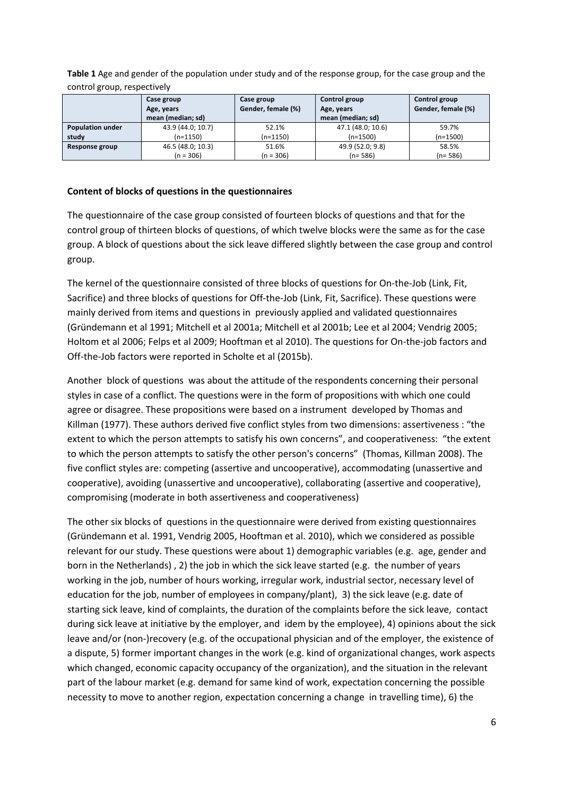**Table 1** Age and gender of the population under study and of the response group, for the case group and the control group, respectively

|                         | Case group        | Case group         | Control group     | Control group      |
|-------------------------|-------------------|--------------------|-------------------|--------------------|
|                         | Age, years        | Gender, female (%) | Age, years        | Gender, female (%) |
|                         | mean (median; sd) |                    | mean (median; sd) |                    |
| <b>Population under</b> | 43.9 (44.0; 10.7) | 52.1%              | 47.1 (48.0; 10.6) | 59.7%              |
| study                   | $(n=1150)$        | $(n=1150)$         | $(n=1500)$        | $(n=1500)$         |
| Response group          | 46.5 (48.0; 10.3) | 51.6%              | 49.9 (52.0; 9.8)  | 58.5%              |
|                         | $(n = 306)$       | $(n = 306)$        | $(n=586)$         | $(n=586)$          |

### **Content of blocks of questions in the questionnaires**

The questionnaire of the case group consisted of fourteen blocks of questions and that for the control group of thirteen blocks of questions, of which twelve blocks were the same as for the case group. A block of questions about the sick leave differed slightly between the case group and control group.

The kernel of the questionnaire consisted of three blocks of questions for On-the-Job (Link, Fit, Sacrifice) and three blocks of questions for Off-the-Job (Link, Fit, Sacrifice). These questions were mainly derived from items and questions in previously applied and validated questionnaires (Gründemann et al 1991; Mitchell et al 2001a; Mitchell et al 2001b; Lee et al 2004; Vendrig 2005; Holtom et al 2006; Felps et al 2009; Hooftman et al 2010). The questions for On-the-job factors and Off-the-Job factors were reported in Scholte et al (2015b).

Another block of questions was about the attitude of the respondents concerning their personal styles in case of a conflict. The questions were in the form of propositions with which one could agree or disagree. These propositions were based on a instrument developed by Thomas and Killman (1977). These authors derived five conflict styles from two dimensions: assertiveness : "the extent to which the person attempts to satisfy his own concerns", and cooperativeness: "the extent to which the person attempts to satisfy the other person's concerns" (Thomas, Killman 2008). The five conflict styles are: competing (assertive and uncooperative), accommodating (unassertive and cooperative), avoiding (unassertive and uncooperative), collaborating (assertive and cooperative), compromising (moderate in both assertiveness and cooperativeness)

The other six blocks of questions in the questionnaire were derived from existing questionnaires (Gründemann et al. 1991, Vendrig 2005, Hooftman et al. 2010), which we considered as possible relevant for our study. These questions were about 1) demographic variables (e.g. age, gender and born in the Netherlands) , 2) the job in which the sick leave started (e.g. the number of years working in the job, number of hours working, irregular work, industrial sector, necessary level of education for the job, number of employees in company/plant), 3) the sick leave (e.g. date of starting sick leave, kind of complaints, the duration of the complaints before the sick leave, contact during sick leave at initiative by the employer, and idem by the employee), 4) opinions about the sick leave and/or (non-)recovery (e.g. of the occupational physician and of the employer, the existence of a dispute, 5) former important changes in the work (e.g. kind of organizational changes, work aspects which changed, economic capacity occupancy of the organization), and the situation in the relevant part of the labour market (e.g. demand for same kind of work, expectation concerning the possible necessity to move to another region, expectation concerning a change in travelling time), 6) the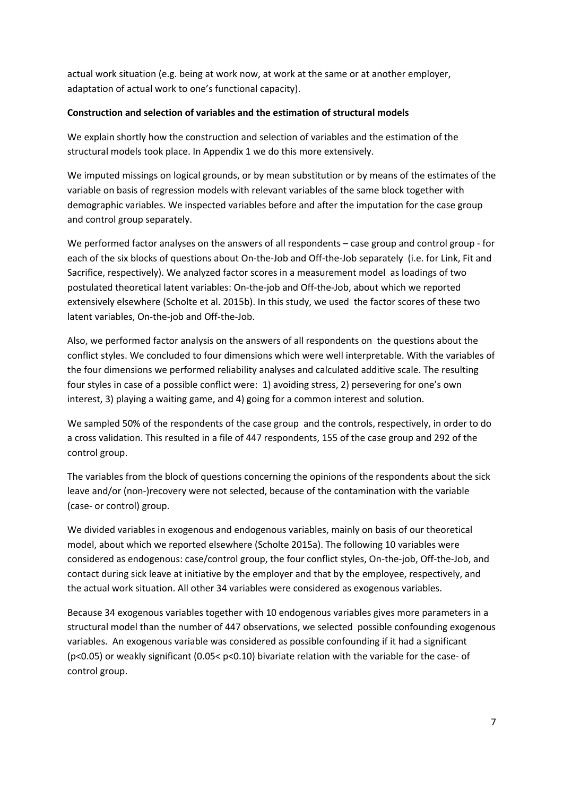actual work situation (e.g. being at work now, at work at the same or at another employer, adaptation of actual work to one's functional capacity).

## **Construction and selection of variables and the estimation of structural models**

We explain shortly how the construction and selection of variables and the estimation of the structural models took place. In Appendix 1 we do this more extensively.

We imputed missings on logical grounds, or by mean substitution or by means of the estimates of the variable on basis of regression models with relevant variables of the same block together with demographic variables. We inspected variables before and after the imputation for the case group and control group separately.

We performed factor analyses on the answers of all respondents – case group and control group - for each of the six blocks of questions about On-the-Job and Off-the-Job separately (i.e. for Link, Fit and Sacrifice, respectively). We analyzed factor scores in a measurement model as loadings of two postulated theoretical latent variables: On-the-job and Off-the-Job, about which we reported extensively elsewhere (Scholte et al. 2015b). In this study, we used the factor scores of these two latent variables, On-the-job and Off-the-Job.

Also, we performed factor analysis on the answers of all respondents on the questions about the conflict styles. We concluded to four dimensions which were well interpretable. With the variables of the four dimensions we performed reliability analyses and calculated additive scale. The resulting four styles in case of a possible conflict were: 1) avoiding stress, 2) persevering for one's own interest, 3) playing a waiting game, and 4) going for a common interest and solution.

We sampled 50% of the respondents of the case group and the controls, respectively, in order to do a cross validation. This resulted in a file of 447 respondents, 155 of the case group and 292 of the control group.

The variables from the block of questions concerning the opinions of the respondents about the sick leave and/or (non-)recovery were not selected, because of the contamination with the variable (case- or control) group.

We divided variables in exogenous and endogenous variables, mainly on basis of our theoretical model, about which we reported elsewhere (Scholte 2015a). The following 10 variables were considered as endogenous: case/control group, the four conflict styles, On-the-job, Off-the-Job, and contact during sick leave at initiative by the employer and that by the employee, respectively, and the actual work situation. All other 34 variables were considered as exogenous variables.

Because 34 exogenous variables together with 10 endogenous variables gives more parameters in a structural model than the number of 447 observations, we selected possible confounding exogenous variables. An exogenous variable was considered as possible confounding if it had a significant (p<0.05) or weakly significant (0.05< p<0.10) bivariate relation with the variable for the case- of control group.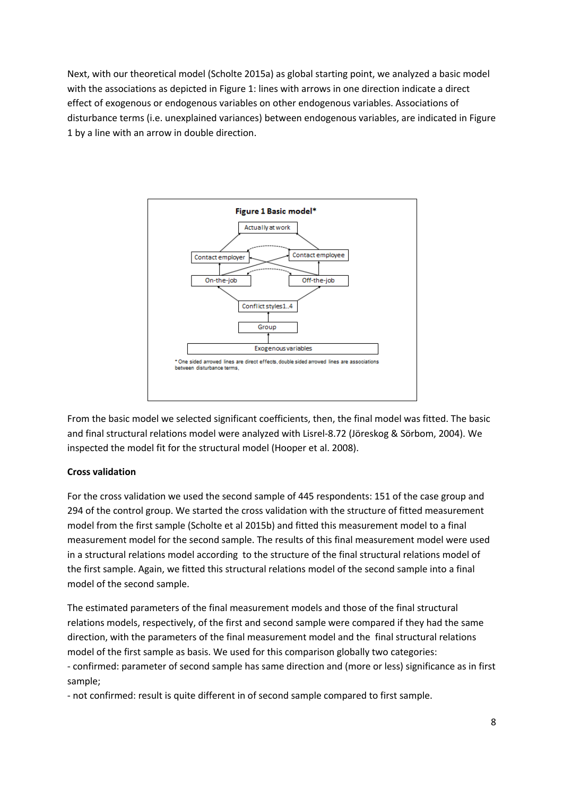Next, with our theoretical model (Scholte 2015a) as global starting point, we analyzed a basic model with the associations as depicted in Figure 1: lines with arrows in one direction indicate a direct effect of exogenous or endogenous variables on other endogenous variables. Associations of disturbance terms (i.e. unexplained variances) between endogenous variables, are indicated in Figure 1 by a line with an arrow in double direction.



From the basic model we selected significant coefficients, then, the final model was fitted. The basic and final structural relations model were analyzed with Lisrel-8.72 (Jöreskog & Sörbom, 2004). We inspected the model fit for the structural model (Hooper et al. 2008).

## **Cross validation**

For the cross validation we used the second sample of 445 respondents: 151 of the case group and 294 of the control group. We started the cross validation with the structure of fitted measurement model from the first sample (Scholte et al 2015b) and fitted this measurement model to a final measurement model for the second sample. The results of this final measurement model were used in a structural relations model according to the structure of the final structural relations model of the first sample. Again, we fitted this structural relations model of the second sample into a final model of the second sample.

The estimated parameters of the final measurement models and those of the final structural relations models, respectively, of the first and second sample were compared if they had the same direction, with the parameters of the final measurement model and the final structural relations model of the first sample as basis. We used for this comparison globally two categories: - confirmed: parameter of second sample has same direction and (more or less) significance as in first sample;

- not confirmed: result is quite different in of second sample compared to first sample.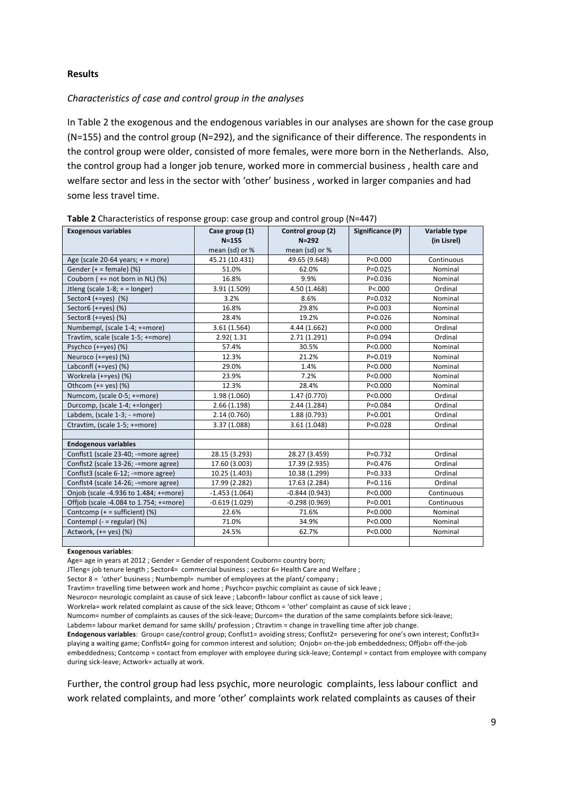#### **Results**

#### *Characteristics of case and control group in the analyses*

In Table 2 the exogenous and the endogenous variables in our analyses are shown for the case group (N=155) and the control group (N=292), and the significance of their difference. The respondents in the control group were older, consisted of more females, were more born in the Netherlands. Also, the control group had a longer job tenure, worked more in commercial business , health care and welfare sector and less in the sector with 'other' business , worked in larger companies and had some less travel time.

| <b>Exogenous variables</b>             | Case group (1)              | Control group (2)               | Significance (P) | Variable type |
|----------------------------------------|-----------------------------|---------------------------------|------------------|---------------|
|                                        | $N = 155$<br>mean (sd) or % | $N = 292$                       |                  | (in Lisrel)   |
| Age (scale $20-64$ years; + = more)    | 45.21 (10.431)              | mean (sd) or %<br>49.65 (9.648) | P < 0.000        | Continuous    |
|                                        |                             |                                 |                  |               |
| Gender $(+)$ = female) (%)             | 51.0%                       | 62.0%                           | $P = 0.025$      | Nominal       |
| Couborn ( $+=$ not born in NL) (%)     | 16.8%                       | 9.9%                            | $P = 0.036$      | Nominal       |
| Jtleng (scale $1-8$ ; + = longer)      | 3.91 (1.509)                | 4.50 (1.468)                    | P < 000          | Ordinal       |
| Sector4 $(+=$ yes $)$ (%)              | 3.2%                        | 8.6%                            | $P = 0.032$      | Nominal       |
| Sector6 (+=yes) (%)                    | 16.8%                       | 29.8%                           | $P = 0.003$      | Nominal       |
| Sector8 $(+=yes)$ $(\%)$               | 28.4%                       | 19.2%                           | $P = 0.026$      | Nominal       |
| Numbempl, (scale 1-4; +=more)          | 3.61 (1.564)                | 4.44 (1.662)                    | P<0.000          | Ordinal       |
| Travtim, scale (scale 1-5; +=more)     | 2.92(1.31                   | 2.71(1.291)                     | $P = 0.094$      | Ordinal       |
| Psychco $(+=yes)$ (%)                  | 57.4%                       | 30.5%                           | P<0.000          | Nominal       |
| Neuroco $(+=yes)$ $(%$                 | 12.3%                       | 21.2%                           | $P = 0.019$      | Nominal       |
| Labconfl $(+=$ yes $)$ (%)             | 29.0%                       | 1.4%                            | P<0.000          | Nominal       |
| Workrela (+=yes) (%)                   | 23.9%                       | 7.2%                            | P<0.000          | Nominal       |
| Othcom $(+=$ yes $)$ (%)               | 12.3%                       | 28.4%                           | P<0.000          | Nominal       |
| Numcom, (scale 0-5; +=more)            | 1.98 (1.060)                | 1.47 (0.770)                    | P < 0.000        | Ordinal       |
| Durcomp, (scale 1-4; +=longer)         | 2.66(1.198)                 | 2.44 (1.284)                    | $P = 0.084$      | Ordinal       |
| Labdem, (scale 1-3; - =more)           | 2.14(0.760)                 | 1.88 (0.793)                    | $P = 0.001$      | Ordinal       |
| Ctravtim, (scale 1-5; +=more)          | 3.37 (1.088)                | 3.61(1.048)                     | $P = 0.028$      | Ordinal       |
|                                        |                             |                                 |                  |               |
| <b>Endogenous variables</b>            |                             |                                 |                  |               |
| Conflst1 (scale 23-40; -=more agree)   | 28.15 (3.293)               | 28.27 (3.459)                   | $P = 0.732$      | Ordinal       |
| Conflst2 (scale 13-26; -=more agree)   | 17.60 (3.003)               | 17.39 (2.935)                   | $P = 0.476$      | Ordinal       |
| Conflst3 (scale 6-12; -=more agree)    | 10.25 (1.403)               | 10.38 (1.299)                   | $P = 0.333$      | Ordinal       |
| Conflst4 (scale 14-26; -=more agree)   | 17.99 (2.282)               | 17.63 (2.284)                   | $P = 0.116$      | Ordinal       |
| Onjob (scale -4.936 to 1.484; +=more)  | $-1.453(1.064)$             | $-0.844(0.943)$                 | P < 0.000        | Continuous    |
| Offiob (scale -4.084 to 1.754; +=more) | $-0.619(1.029)$             | $-0.298(0.969)$                 | $P = 0.001$      | Continuous    |
| Contcomp $(+)$ = sufficient) (%)       | 22.6%                       | 71.6%                           | P < 0.000        | Nominal       |
| Contempl $(- = regular)$ (%)           | 71.0%                       | 34.9%                           | P < 0.000        | Nominal       |
| Actwork, $(+=$ yes $)$ $(\%)$          | 24.5%                       | 62.7%                           | P < 0.000        | Nominal       |
|                                        |                             |                                 |                  |               |

**Table 2** Characteristics of response group: case group and control group (N=447)

#### **Exogenous variables**:

Age= age in years at 2012 ; Gender = Gender of respondent Couborn= country born;

JTleng= job tenure length ; Sector4= commercial business ; sector 6= Health Care and Welfare ;

Sector 8 = 'other' business ; Numbempl= number of employees at the plant/ company ;

Travtim= travelling time between work and home ; Psychco= psychic complaint as cause of sick leave ;

Neuroco= neurologic complaint as cause of sick leave ; Labconfl= labour conflict as cause of sick leave ;

Workrela= work related complaint as cause of the sick leave; Othcom = 'other' complaint as cause of sick leave ;

Numcom= number of complaints as causes of the sick-leave; Durcom= the duration of the same complaints before sick-leave;

**Endogenous variables**: Group= case/control group; Conflst1= avoiding stress; Conflst2= persevering for one's own interest; Conflst3= playing a waiting game; Conflst4= going for common interest and solution; Onjob= on-the-job embeddedness; Offjob= off-the-job embeddedness; Contcomp = contact from employer with employee during sick-leave; Contempl = contact from employee with company during sick-leave; Actwork= actually at work.

Further, the control group had less psychic, more neurologic complaints, less labour conflict and work related complaints, and more 'other' complaints work related complaints as causes of their

Labdem= labour market demand for same skills/ profession ; Ctravtim = change in travelling time after job change.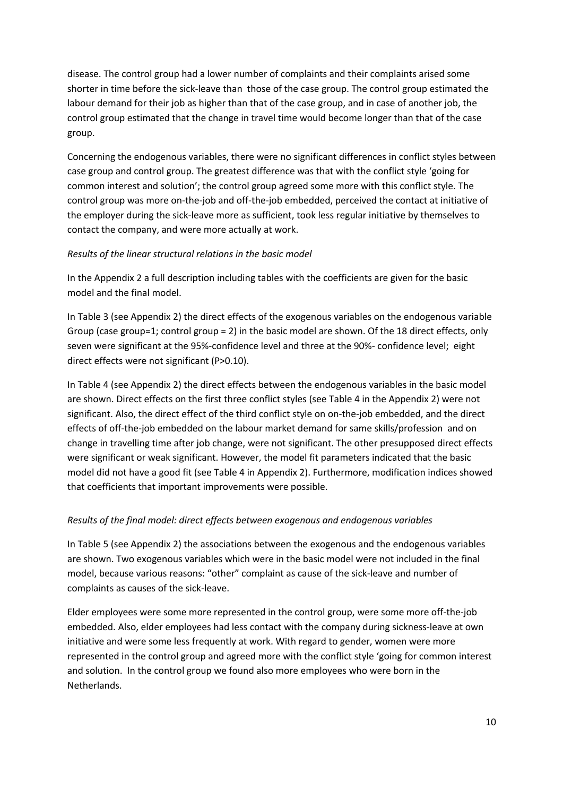disease. The control group had a lower number of complaints and their complaints arised some shorter in time before the sick-leave than those of the case group. The control group estimated the labour demand for their job as higher than that of the case group, and in case of another job, the control group estimated that the change in travel time would become longer than that of the case group.

Concerning the endogenous variables, there were no significant differences in conflict styles between case group and control group. The greatest difference was that with the conflict style 'going for common interest and solution'; the control group agreed some more with this conflict style. The control group was more on-the-job and off-the-job embedded, perceived the contact at initiative of the employer during the sick-leave more as sufficient, took less regular initiative by themselves to contact the company, and were more actually at work.

## *Results of the linear structural relations in the basic model*

In the Appendix 2 a full description including tables with the coefficients are given for the basic model and the final model.

In Table 3 (see Appendix 2) the direct effects of the exogenous variables on the endogenous variable Group (case group=1; control group = 2) in the basic model are shown. Of the 18 direct effects, only seven were significant at the 95%-confidence level and three at the 90%- confidence level; eight direct effects were not significant (P>0.10).

In Table 4 (see Appendix 2) the direct effects between the endogenous variables in the basic model are shown. Direct effects on the first three conflict styles (see Table 4 in the Appendix 2) were not significant. Also, the direct effect of the third conflict style on on-the-job embedded, and the direct effects of off-the-job embedded on the labour market demand for same skills/profession and on change in travelling time after job change, were not significant. The other presupposed direct effects were significant or weak significant. However, the model fit parameters indicated that the basic model did not have a good fit (see Table 4 in Appendix 2). Furthermore, modification indices showed that coefficients that important improvements were possible.

## *Results of the final model: direct effects between exogenous and endogenous variables*

In Table 5 (see Appendix 2) the associations between the exogenous and the endogenous variables are shown. Two exogenous variables which were in the basic model were not included in the final model, because various reasons: "other" complaint as cause of the sick-leave and number of complaints as causes of the sick-leave.

Elder employees were some more represented in the control group, were some more off-the-job embedded. Also, elder employees had less contact with the company during sickness-leave at own initiative and were some less frequently at work. With regard to gender, women were more represented in the control group and agreed more with the conflict style 'going for common interest and solution. In the control group we found also more employees who were born in the Netherlands.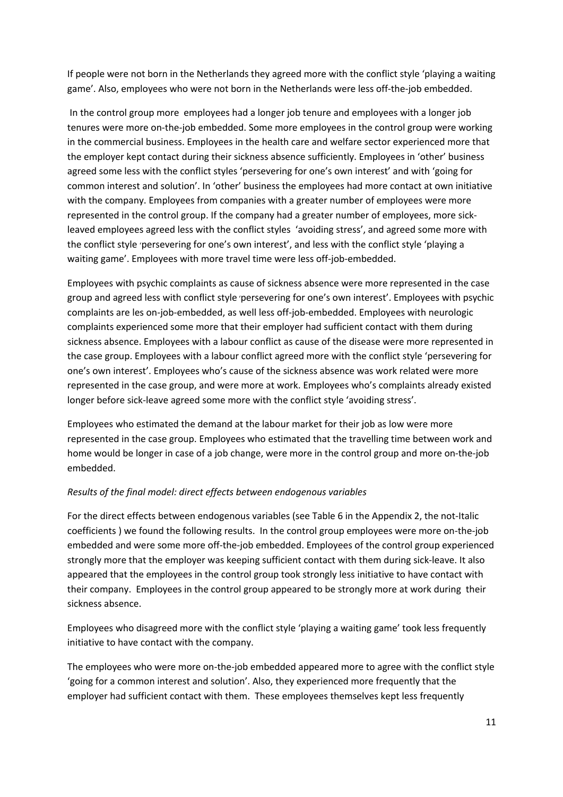If people were not born in the Netherlands they agreed more with the conflict style 'playing a waiting game'. Also, employees who were not born in the Netherlands were less off-the-job embedded.

In the control group more employees had a longer job tenure and employees with a longer job tenures were more on-the-job embedded. Some more employees in the control group were working in the commercial business. Employees in the health care and welfare sector experienced more that the employer kept contact during their sickness absence sufficiently. Employees in 'other' business agreed some less with the conflict styles 'persevering for one's own interest' and with 'going for common interest and solution'. In 'other' business the employees had more contact at own initiative with the company. Employees from companies with a greater number of employees were more represented in the control group. If the company had a greater number of employees, more sickleaved employees agreed less with the conflict styles 'avoiding stress', and agreed some more with the conflict style 'persevering for one's own interest', and less with the conflict style 'playing a waiting game'. Employees with more travel time were less off-job-embedded.

Employees with psychic complaints as cause of sickness absence were more represented in the case group and agreed less with conflict style 'persevering for one's own interest'. Employees with psychic complaints are les on-job-embedded, as well less off-job-embedded. Employees with neurologic complaints experienced some more that their employer had sufficient contact with them during sickness absence. Employees with a labour conflict as cause of the disease were more represented in the case group. Employees with a labour conflict agreed more with the conflict style 'persevering for one's own interest'. Employees who's cause of the sickness absence was work related were more represented in the case group, and were more at work. Employees who's complaints already existed longer before sick-leave agreed some more with the conflict style 'avoiding stress'.

Employees who estimated the demand at the labour market for their job as low were more represented in the case group. Employees who estimated that the travelling time between work and home would be longer in case of a job change, were more in the control group and more on-the-job embedded.

## *Results of the final model: direct effects between endogenous variables*

For the direct effects between endogenous variables (see Table 6 in the Appendix 2, the not-Italic coefficients ) we found the following results. In the control group employees were more on-the-job embedded and were some more off-the-job embedded. Employees of the control group experienced strongly more that the employer was keeping sufficient contact with them during sick-leave. It also appeared that the employees in the control group took strongly less initiative to have contact with their company. Employees in the control group appeared to be strongly more at work during their sickness absence.

Employees who disagreed more with the conflict style 'playing a waiting game' took less frequently initiative to have contact with the company.

The employees who were more on-the-job embedded appeared more to agree with the conflict style 'going for a common interest and solution'. Also, they experienced more frequently that the employer had sufficient contact with them. These employees themselves kept less frequently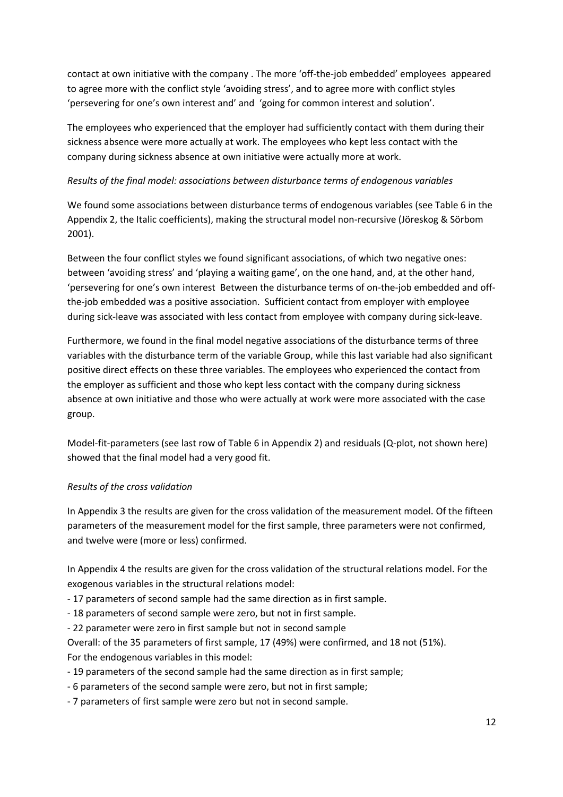contact at own initiative with the company . The more 'off-the-job embedded' employees appeared to agree more with the conflict style 'avoiding stress', and to agree more with conflict styles 'persevering for one's own interest and' and 'going for common interest and solution'.

The employees who experienced that the employer had sufficiently contact with them during their sickness absence were more actually at work. The employees who kept less contact with the company during sickness absence at own initiative were actually more at work.

## *Results of the final model: associations between disturbance terms of endogenous variables*

We found some associations between disturbance terms of endogenous variables (see Table 6 in the Appendix 2, the Italic coefficients), making the structural model non-recursive (Jöreskog & Sörbom 2001).

Between the four conflict styles we found significant associations, of which two negative ones: between 'avoiding stress' and 'playing a waiting game', on the one hand, and, at the other hand, 'persevering for one's own interest Between the disturbance terms of on-the-job embedded and offthe-job embedded was a positive association. Sufficient contact from employer with employee during sick-leave was associated with less contact from employee with company during sick-leave.

Furthermore, we found in the final model negative associations of the disturbance terms of three variables with the disturbance term of the variable Group, while this last variable had also significant positive direct effects on these three variables. The employees who experienced the contact from the employer as sufficient and those who kept less contact with the company during sickness absence at own initiative and those who were actually at work were more associated with the case group.

Model-fit-parameters (see last row of Table 6 in Appendix 2) and residuals (Q-plot, not shown here) showed that the final model had a very good fit.

## *Results of the cross validation*

In Appendix 3 the results are given for the cross validation of the measurement model. Of the fifteen parameters of the measurement model for the first sample, three parameters were not confirmed, and twelve were (more or less) confirmed.

In Appendix 4 the results are given for the cross validation of the structural relations model. For the exogenous variables in the structural relations model:

- 17 parameters of second sample had the same direction as in first sample.

- 18 parameters of second sample were zero, but not in first sample.

- 22 parameter were zero in first sample but not in second sample

Overall: of the 35 parameters of first sample, 17 (49%) were confirmed, and 18 not (51%). For the endogenous variables in this model:

- 19 parameters of the second sample had the same direction as in first sample;
- 6 parameters of the second sample were zero, but not in first sample;
- 7 parameters of first sample were zero but not in second sample.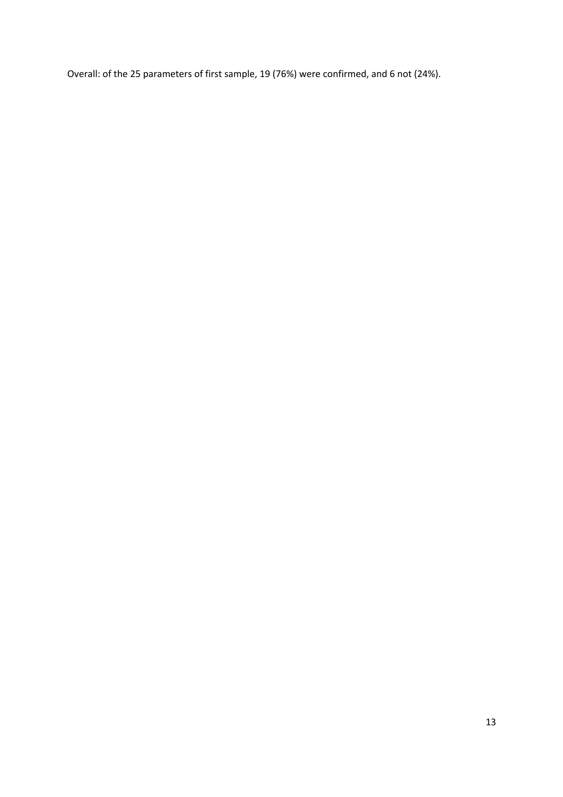Overall: of the 25 parameters of first sample, 19 (76%) were confirmed, and 6 not (24%).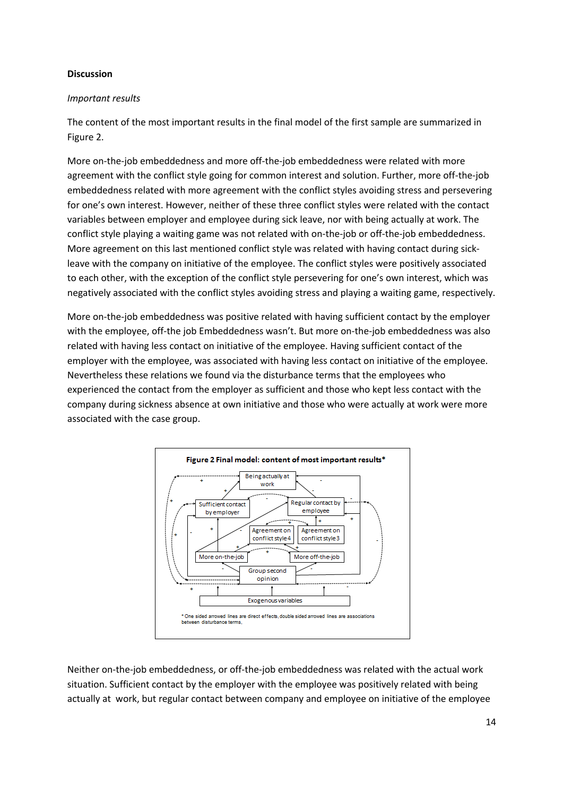### **Discussion**

### *Important results*

The content of the most important results in the final model of the first sample are summarized in Figure 2.

More on-the-job embeddedness and more off-the-job embeddedness were related with more agreement with the conflict style going for common interest and solution. Further, more off-the-job embeddedness related with more agreement with the conflict styles avoiding stress and persevering for one's own interest. However, neither of these three conflict styles were related with the contact variables between employer and employee during sick leave, nor with being actually at work. The conflict style playing a waiting game was not related with on-the-job or off-the-job embeddedness. More agreement on this last mentioned conflict style was related with having contact during sickleave with the company on initiative of the employee. The conflict styles were positively associated to each other, with the exception of the conflict style persevering for one's own interest, which was negatively associated with the conflict styles avoiding stress and playing a waiting game, respectively.

More on-the-job embeddedness was positive related with having sufficient contact by the employer with the employee, off-the job Embeddedness wasn't. But more on-the-job embeddedness was also related with having less contact on initiative of the employee. Having sufficient contact of the employer with the employee, was associated with having less contact on initiative of the employee. Nevertheless these relations we found via the disturbance terms that the employees who experienced the contact from the employer as sufficient and those who kept less contact with the company during sickness absence at own initiative and those who were actually at work were more associated with the case group.



Neither on-the-job embeddedness, or off-the-job embeddedness was related with the actual work situation. Sufficient contact by the employer with the employee was positively related with being actually at work, but regular contact between company and employee on initiative of the employee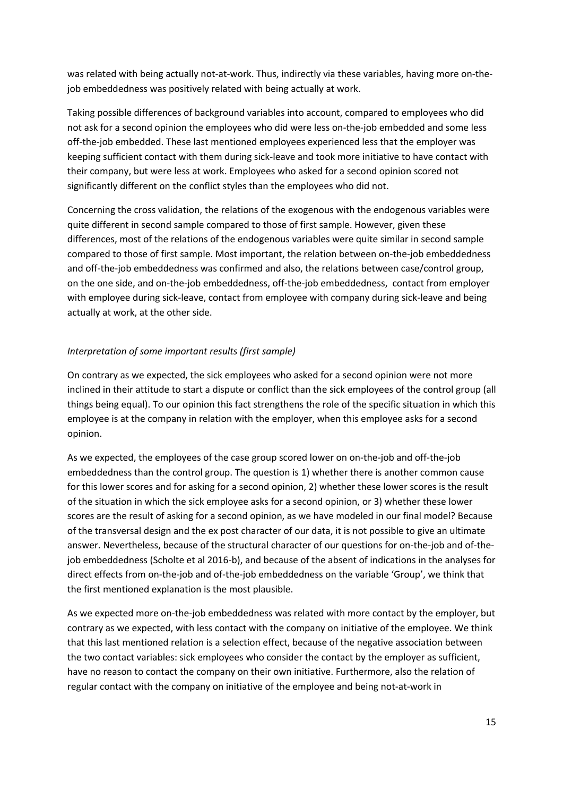was related with being actually not-at-work. Thus, indirectly via these variables, having more on-thejob embeddedness was positively related with being actually at work.

Taking possible differences of background variables into account, compared to employees who did not ask for a second opinion the employees who did were less on-the-job embedded and some less off-the-job embedded. These last mentioned employees experienced less that the employer was keeping sufficient contact with them during sick-leave and took more initiative to have contact with their company, but were less at work. Employees who asked for a second opinion scored not significantly different on the conflict styles than the employees who did not.

Concerning the cross validation, the relations of the exogenous with the endogenous variables were quite different in second sample compared to those of first sample. However, given these differences, most of the relations of the endogenous variables were quite similar in second sample compared to those of first sample. Most important, the relation between on-the-job embeddedness and off-the-job embeddedness was confirmed and also, the relations between case/control group, on the one side, and on-the-job embeddedness, off-the-job embeddedness, contact from employer with employee during sick-leave, contact from employee with company during sick-leave and being actually at work, at the other side.

## *Interpretation of some important results (first sample)*

On contrary as we expected, the sick employees who asked for a second opinion were not more inclined in their attitude to start a dispute or conflict than the sick employees of the control group (all things being equal). To our opinion this fact strengthens the role of the specific situation in which this employee is at the company in relation with the employer, when this employee asks for a second opinion.

As we expected, the employees of the case group scored lower on on-the-job and off-the-job embeddedness than the control group. The question is 1) whether there is another common cause for this lower scores and for asking for a second opinion, 2) whether these lower scores is the result of the situation in which the sick employee asks for a second opinion, or 3) whether these lower scores are the result of asking for a second opinion, as we have modeled in our final model? Because of the transversal design and the ex post character of our data, it is not possible to give an ultimate answer. Nevertheless, because of the structural character of our questions for on-the-job and of-thejob embeddedness (Scholte et al 2016-b), and because of the absent of indications in the analyses for direct effects from on-the-job and of-the-job embeddedness on the variable 'Group', we think that the first mentioned explanation is the most plausible.

As we expected more on-the-job embeddedness was related with more contact by the employer, but contrary as we expected, with less contact with the company on initiative of the employee. We think that this last mentioned relation is a selection effect, because of the negative association between the two contact variables: sick employees who consider the contact by the employer as sufficient, have no reason to contact the company on their own initiative. Furthermore, also the relation of regular contact with the company on initiative of the employee and being not-at-work in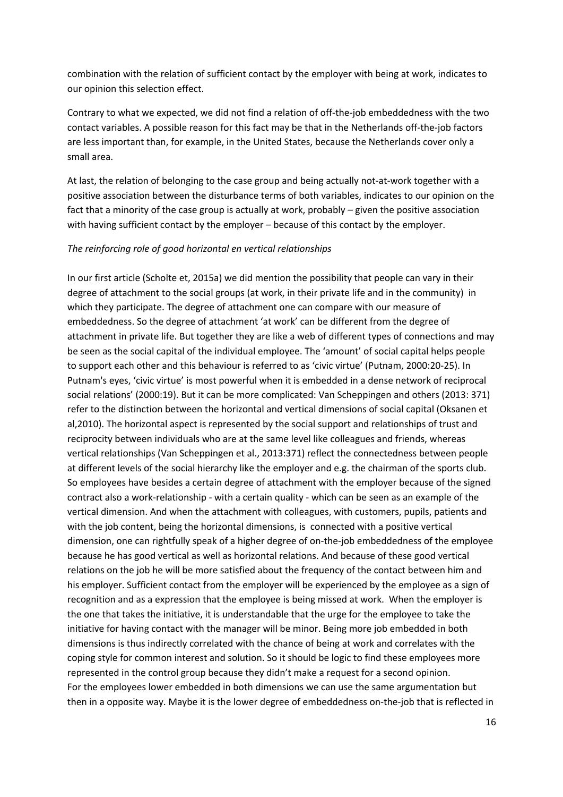combination with the relation of sufficient contact by the employer with being at work, indicates to our opinion this selection effect.

Contrary to what we expected, we did not find a relation of off-the-job embeddedness with the two contact variables. A possible reason for this fact may be that in the Netherlands off-the-job factors are less important than, for example, in the United States, because the Netherlands cover only a small area.

At last, the relation of belonging to the case group and being actually not-at-work together with a positive association between the disturbance terms of both variables, indicates to our opinion on the fact that a minority of the case group is actually at work, probably – given the positive association with having sufficient contact by the employer – because of this contact by the employer.

#### *The reinforcing role of good horizontal en vertical relationships*

In our first article (Scholte et, 2015a) we did mention the possibility that people can vary in their degree of attachment to the social groups (at work, in their private life and in the community) in which they participate. The degree of attachment one can compare with our measure of embeddedness. So the degree of attachment 'at work' can be different from the degree of attachment in private life. But together they are like a web of different types of connections and may be seen as the social capital of the individual employee. The 'amount' of social capital helps people to support each other and this behaviour is referred to as 'civic virtue' (Putnam, 2000:20-25). In Putnam's eyes, 'civic virtue' is most powerful when it is embedded in a dense network of reciprocal social relations' (2000:19). But it can be more complicated: Van Scheppingen and others (2013: 371) refer to the distinction between the horizontal and vertical dimensions of social capital (Oksanen et al,2010). The horizontal aspect is represented by the social support and relationships of trust and reciprocity between individuals who are at the same level like colleagues and friends, whereas vertical relationships (Van Scheppingen et al., 2013:371) reflect the connectedness between people at different levels of the social hierarchy like the employer and e.g. the chairman of the sports club. So employees have besides a certain degree of attachment with the employer because of the signed contract also a work-relationship - with a certain quality - which can be seen as an example of the vertical dimension. And when the attachment with colleagues, with customers, pupils, patients and with the job content, being the horizontal dimensions, is connected with a positive vertical dimension, one can rightfully speak of a higher degree of on-the-job embeddedness of the employee because he has good vertical as well as horizontal relations. And because of these good vertical relations on the job he will be more satisfied about the frequency of the contact between him and his employer. Sufficient contact from the employer will be experienced by the employee as a sign of recognition and as a expression that the employee is being missed at work. When the employer is the one that takes the initiative, it is understandable that the urge for the employee to take the initiative for having contact with the manager will be minor. Being more job embedded in both dimensions is thus indirectly correlated with the chance of being at work and correlates with the coping style for common interest and solution. So it should be logic to find these employees more represented in the control group because they didn't make a request for a second opinion. For the employees lower embedded in both dimensions we can use the same argumentation but then in a opposite way. Maybe it is the lower degree of embeddedness on-the-job that is reflected in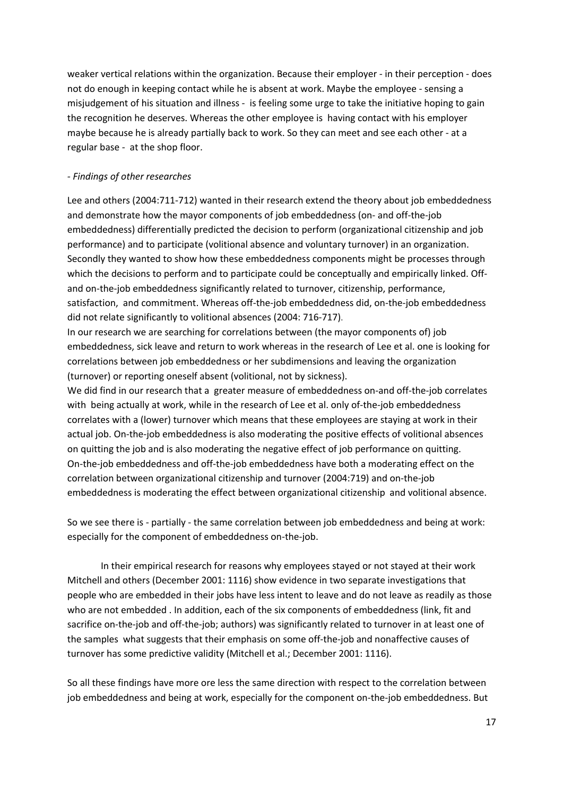weaker vertical relations within the organization. Because their employer - in their perception - does not do enough in keeping contact while he is absent at work. Maybe the employee - sensing a misjudgement of his situation and illness - is feeling some urge to take the initiative hoping to gain the recognition he deserves. Whereas the other employee is having contact with his employer maybe because he is already partially back to work. So they can meet and see each other - at a regular base - at the shop floor.

### *- Findings of other researches*

Lee and others (2004:711-712) wanted in their research extend the theory about job embeddedness and demonstrate how the mayor components of job embeddedness (on- and off-the-job embeddedness) differentially predicted the decision to perform (organizational citizenship and job performance) and to participate (volitional absence and voluntary turnover) in an organization. Secondly they wanted to show how these embeddedness components might be processes through which the decisions to perform and to participate could be conceptually and empirically linked. Offand on-the-job embeddedness significantly related to turnover, citizenship, performance, satisfaction, and commitment. Whereas off-the-job embeddedness did, on-the-job embeddedness did not relate significantly to volitional absences (2004: 716-717).

In our research we are searching for correlations between (the mayor components of) job embeddedness, sick leave and return to work whereas in the research of Lee et al. one is looking for correlations between job embeddedness or her subdimensions and leaving the organization (turnover) or reporting oneself absent (volitional, not by sickness).

We did find in our research that a greater measure of embeddedness on-and off-the-job correlates with being actually at work, while in the research of Lee et al. only of-the-job embeddedness correlates with a (lower) turnover which means that these employees are staying at work in their actual job. On-the-job embeddedness is also moderating the positive effects of volitional absences on quitting the job and is also moderating the negative effect of job performance on quitting. On-the-job embeddedness and off-the-job embeddedness have both a moderating effect on the correlation between organizational citizenship and turnover (2004:719) and on-the-job embeddedness is moderating the effect between organizational citizenship and volitional absence.

So we see there is - partially - the same correlation between job embeddedness and being at work: especially for the component of embeddedness on-the-job.

In their empirical research for reasons why employees stayed or not stayed at their work Mitchell and others (December 2001: 1116) show evidence in two separate investigations that people who are embedded in their jobs have less intent to leave and do not leave as readily as those who are not embedded . In addition, each of the six components of embeddedness (link, fit and sacrifice on-the-job and off-the-job; authors) was significantly related to turnover in at least one of the samples what suggests that their emphasis on some off-the-job and nonaffective causes of turnover has some predictive validity (Mitchell et al.; December 2001: 1116).

So all these findings have more ore less the same direction with respect to the correlation between job embeddedness and being at work, especially for the component on-the-job embeddedness. But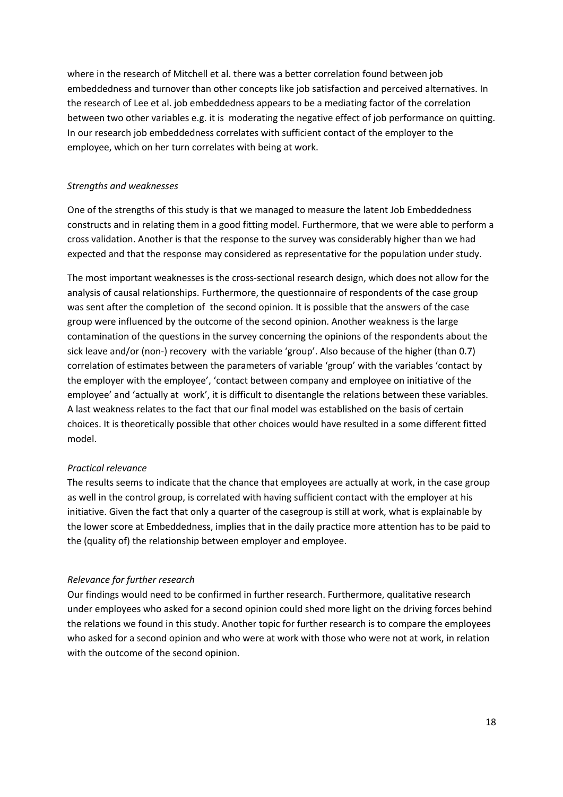where in the research of Mitchell et al. there was a better correlation found between job embeddedness and turnover than other concepts like job satisfaction and perceived alternatives. In the research of Lee et al. job embeddedness appears to be a mediating factor of the correlation between two other variables e.g. it is moderating the negative effect of job performance on quitting. In our research job embeddedness correlates with sufficient contact of the employer to the employee, which on her turn correlates with being at work.

### *Strengths and weaknesses*

One of the strengths of this study is that we managed to measure the latent Job Embeddedness constructs and in relating them in a good fitting model. Furthermore, that we were able to perform a cross validation. Another is that the response to the survey was considerably higher than we had expected and that the response may considered as representative for the population under study.

The most important weaknesses is the cross-sectional research design, which does not allow for the analysis of causal relationships. Furthermore, the questionnaire of respondents of the case group was sent after the completion of the second opinion. It is possible that the answers of the case group were influenced by the outcome of the second opinion. Another weakness is the large contamination of the questions in the survey concerning the opinions of the respondents about the sick leave and/or (non-) recovery with the variable 'group'. Also because of the higher (than 0.7) correlation of estimates between the parameters of variable 'group' with the variables 'contact by the employer with the employee', 'contact between company and employee on initiative of the employee' and 'actually at work', it is difficult to disentangle the relations between these variables. A last weakness relates to the fact that our final model was established on the basis of certain choices. It is theoretically possible that other choices would have resulted in a some different fitted model.

#### *Practical relevance*

The results seems to indicate that the chance that employees are actually at work, in the case group as well in the control group, is correlated with having sufficient contact with the employer at his initiative. Given the fact that only a quarter of the casegroup is still at work, what is explainable by the lower score at Embeddedness, implies that in the daily practice more attention has to be paid to the (quality of) the relationship between employer and employee.

## *Relevance for further research*

Our findings would need to be confirmed in further research. Furthermore, qualitative research under employees who asked for a second opinion could shed more light on the driving forces behind the relations we found in this study. Another topic for further research is to compare the employees who asked for a second opinion and who were at work with those who were not at work, in relation with the outcome of the second opinion.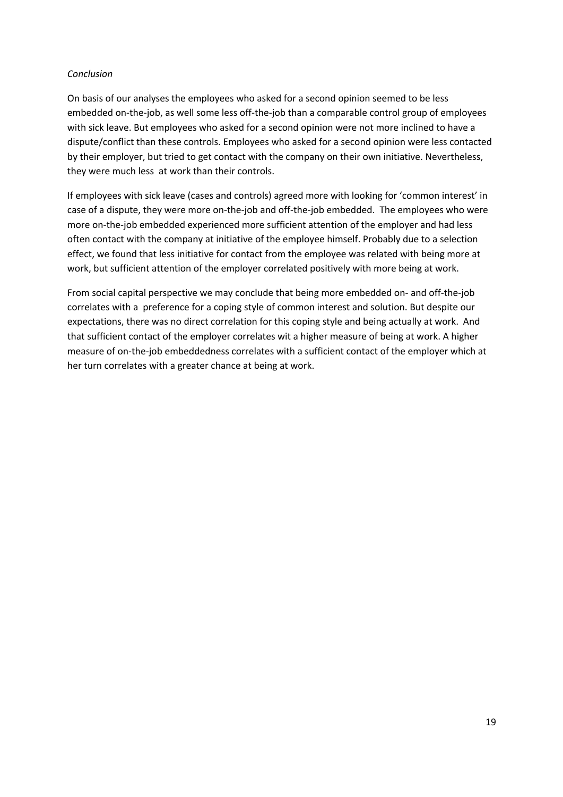### *Conclusion*

On basis of our analyses the employees who asked for a second opinion seemed to be less embedded on-the-job, as well some less off-the-job than a comparable control group of employees with sick leave. But employees who asked for a second opinion were not more inclined to have a dispute/conflict than these controls. Employees who asked for a second opinion were less contacted by their employer, but tried to get contact with the company on their own initiative. Nevertheless, they were much less at work than their controls.

If employees with sick leave (cases and controls) agreed more with looking for 'common interest' in case of a dispute, they were more on-the-job and off-the-job embedded. The employees who were more on-the-job embedded experienced more sufficient attention of the employer and had less often contact with the company at initiative of the employee himself. Probably due to a selection effect, we found that less initiative for contact from the employee was related with being more at work, but sufficient attention of the employer correlated positively with more being at work.

From social capital perspective we may conclude that being more embedded on- and off-the-job correlates with a preference for a coping style of common interest and solution. But despite our expectations, there was no direct correlation for this coping style and being actually at work. And that sufficient contact of the employer correlates wit a higher measure of being at work. A higher measure of on-the-job embeddedness correlates with a sufficient contact of the employer which at her turn correlates with a greater chance at being at work.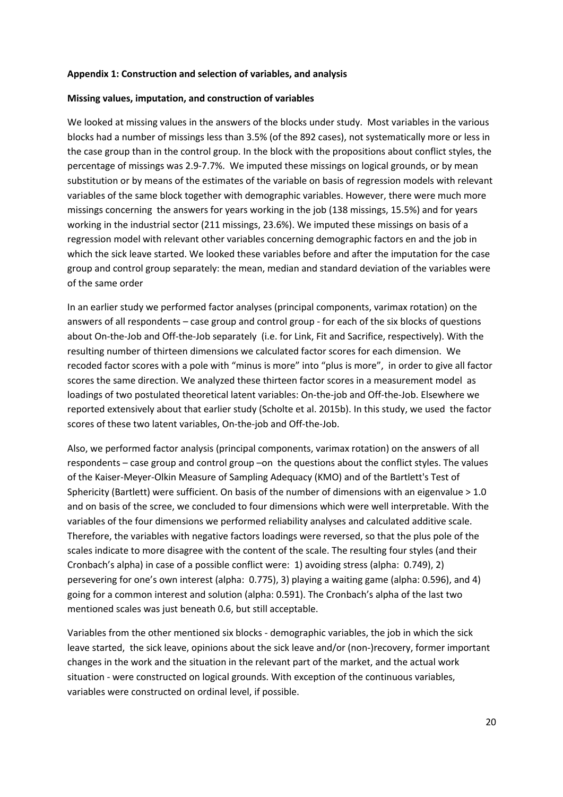#### **Appendix 1: Construction and selection of variables, and analysis**

#### **Missing values, imputation, and construction of variables**

We looked at missing values in the answers of the blocks under study. Most variables in the various blocks had a number of missings less than 3.5% (of the 892 cases), not systematically more or less in the case group than in the control group. In the block with the propositions about conflict styles, the percentage of missings was 2.9-7.7%. We imputed these missings on logical grounds, or by mean substitution or by means of the estimates of the variable on basis of regression models with relevant variables of the same block together with demographic variables. However, there were much more missings concerning the answers for years working in the job (138 missings, 15.5%) and for years working in the industrial sector (211 missings, 23.6%). We imputed these missings on basis of a regression model with relevant other variables concerning demographic factors en and the job in which the sick leave started. We looked these variables before and after the imputation for the case group and control group separately: the mean, median and standard deviation of the variables were of the same order

In an earlier study we performed factor analyses (principal components, varimax rotation) on the answers of all respondents – case group and control group - for each of the six blocks of questions about On-the-Job and Off-the-Job separately (i.e. for Link, Fit and Sacrifice, respectively). With the resulting number of thirteen dimensions we calculated factor scores for each dimension. We recoded factor scores with a pole with "minus is more" into "plus is more", in order to give all factor scores the same direction. We analyzed these thirteen factor scores in a measurement model as loadings of two postulated theoretical latent variables: On-the-job and Off-the-Job. Elsewhere we reported extensively about that earlier study (Scholte et al. 2015b). In this study, we used the factor scores of these two latent variables, On-the-job and Off-the-Job.

Also, we performed factor analysis (principal components, varimax rotation) on the answers of all respondents – case group and control group –on the questions about the conflict styles. The values of the Kaiser-Meyer-Olkin Measure of Sampling Adequacy (KMO) and of the Bartlett's Test of Sphericity (Bartlett) were sufficient. On basis of the number of dimensions with an eigenvalue > 1.0 and on basis of the scree, we concluded to four dimensions which were well interpretable. With the variables of the four dimensions we performed reliability analyses and calculated additive scale. Therefore, the variables with negative factors loadings were reversed, so that the plus pole of the scales indicate to more disagree with the content of the scale. The resulting four styles (and their Cronbach's alpha) in case of a possible conflict were: 1) avoiding stress (alpha: 0.749), 2) persevering for one's own interest (alpha: 0.775), 3) playing a waiting game (alpha: 0.596), and 4) going for a common interest and solution (alpha: 0.591). The Cronbach's alpha of the last two mentioned scales was just beneath 0.6, but still acceptable.

Variables from the other mentioned six blocks - demographic variables, the job in which the sick leave started, the sick leave, opinions about the sick leave and/or (non-)recovery, former important changes in the work and the situation in the relevant part of the market, and the actual work situation - were constructed on logical grounds. With exception of the continuous variables, variables were constructed on ordinal level, if possible.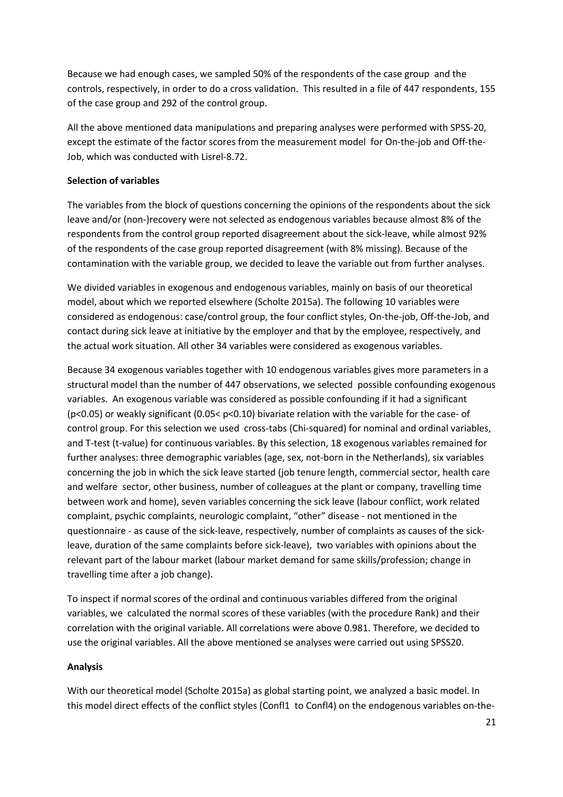Because we had enough cases, we sampled 50% of the respondents of the case group and the controls, respectively, in order to do a cross validation. This resulted in a file of 447 respondents, 155 of the case group and 292 of the control group.

All the above mentioned data manipulations and preparing analyses were performed with SPSS-20, except the estimate of the factor scores from the measurement model for On-the-job and Off-the-Job, which was conducted with Lisrel-8.72.

### **Selection of variables**

The variables from the block of questions concerning the opinions of the respondents about the sick leave and/or (non-)recovery were not selected as endogenous variables because almost 8% of the respondents from the control group reported disagreement about the sick-leave, while almost 92% of the respondents of the case group reported disagreement (with 8% missing). Because of the contamination with the variable group, we decided to leave the variable out from further analyses.

We divided variables in exogenous and endogenous variables, mainly on basis of our theoretical model, about which we reported elsewhere (Scholte 2015a). The following 10 variables were considered as endogenous: case/control group, the four conflict styles, On-the-job, Off-the-Job, and contact during sick leave at initiative by the employer and that by the employee, respectively, and the actual work situation. All other 34 variables were considered as exogenous variables.

Because 34 exogenous variables together with 10 endogenous variables gives more parameters in a structural model than the number of 447 observations, we selected possible confounding exogenous variables. An exogenous variable was considered as possible confounding if it had a significant (p<0.05) or weakly significant (0.05< p<0.10) bivariate relation with the variable for the case- of control group. For this selection we used cross-tabs (Chi-squared) for nominal and ordinal variables, and T-test (t-value) for continuous variables. By this selection, 18 exogenous variables remained for further analyses: three demographic variables (age, sex, not-born in the Netherlands), six variables concerning the job in which the sick leave started (job tenure length, commercial sector, health care and welfare sector, other business, number of colleagues at the plant or company, travelling time between work and home), seven variables concerning the sick leave (labour conflict, work related complaint, psychic complaints, neurologic complaint, "other" disease - not mentioned in the questionnaire - as cause of the sick-leave, respectively, number of complaints as causes of the sickleave, duration of the same complaints before sick-leave), two variables with opinions about the relevant part of the labour market (labour market demand for same skills/profession; change in travelling time after a job change).

To inspect if normal scores of the ordinal and continuous variables differed from the original variables, we calculated the normal scores of these variables (with the procedure Rank) and their correlation with the original variable. All correlations were above 0.981. Therefore, we decided to use the original variables. All the above mentioned se analyses were carried out using SPSS20.

## **Analysis**

With our theoretical model (Scholte 2015a) as global starting point, we analyzed a basic model. In this model direct effects of the conflict styles (Confl1 to Confl4) on the endogenous variables on-the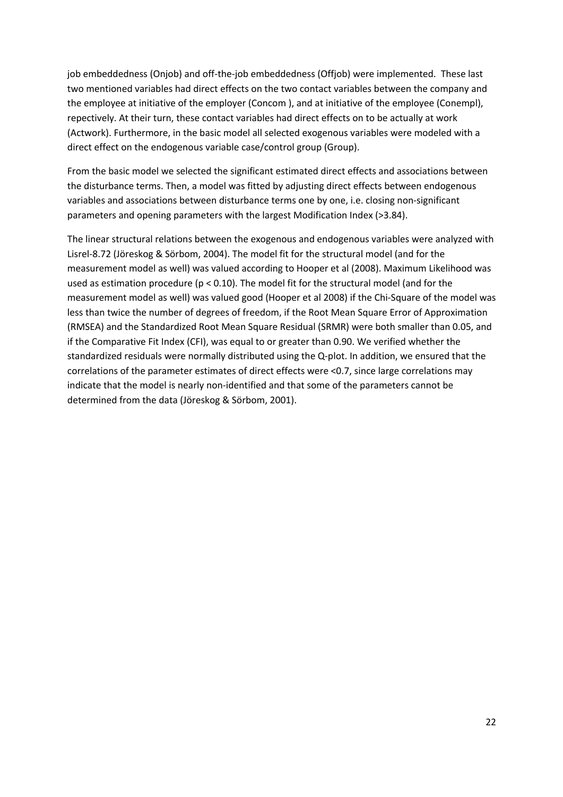job embeddedness (Onjob) and off-the-job embeddedness (Offjob) were implemented. These last two mentioned variables had direct effects on the two contact variables between the company and the employee at initiative of the employer (Concom ), and at initiative of the employee (Conempl), repectively. At their turn, these contact variables had direct effects on to be actually at work (Actwork). Furthermore, in the basic model all selected exogenous variables were modeled with a direct effect on the endogenous variable case/control group (Group).

From the basic model we selected the significant estimated direct effects and associations between the disturbance terms. Then, a model was fitted by adjusting direct effects between endogenous variables and associations between disturbance terms one by one, i.e. closing non-significant parameters and opening parameters with the largest Modification Index (>3.84).

The linear structural relations between the exogenous and endogenous variables were analyzed with Lisrel-8.72 (Jöreskog & Sörbom, 2004). The model fit for the structural model (and for the measurement model as well) was valued according to Hooper et al (2008). Maximum Likelihood was used as estimation procedure ( $p < 0.10$ ). The model fit for the structural model (and for the measurement model as well) was valued good (Hooper et al 2008) if the Chi-Square of the model was less than twice the number of degrees of freedom, if the Root Mean Square Error of Approximation (RMSEA) and the Standardized Root Mean Square Residual (SRMR) were both smaller than 0.05, and if the Comparative Fit Index (CFI), was equal to or greater than 0.90. We verified whether the standardized residuals were normally distributed using the Q-plot. In addition, we ensured that the correlations of the parameter estimates of direct effects were <0.7, since large correlations may indicate that the model is nearly non-identified and that some of the parameters cannot be determined from the data (Jöreskog & Sörbom, 2001).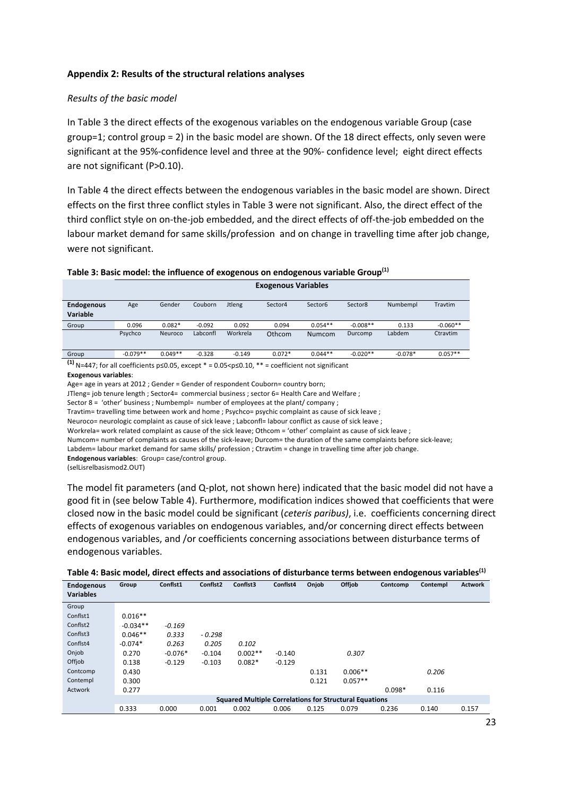### **Appendix 2: Results of the structural relations analyses**

#### *Results of the basic model*

In Table 3 the direct effects of the exogenous variables on the endogenous variable Group (case group=1; control group = 2) in the basic model are shown. Of the 18 direct effects, only seven were significant at the 95%-confidence level and three at the 90%- confidence level; eight direct effects are not significant (P>0.10).

In Table 4 the direct effects between the endogenous variables in the basic model are shown. Direct effects on the first three conflict styles in Table 3 were not significant. Also, the direct effect of the third conflict style on on-the-job embedded, and the direct effects of off-the-job embedded on the labour market demand for same skills/profession and on change in travelling time after job change, were not significant.

|  | Table 3: Basic model: the influence of exogenous on endogenous variable Group <sup>(1)</sup> |  |  |  |  |
|--|----------------------------------------------------------------------------------------------|--|--|--|--|
|--|----------------------------------------------------------------------------------------------|--|--|--|--|

|                                      | <b>Exogenous Variables</b> |           |          |               |          |               |            |           |            |
|--------------------------------------|----------------------------|-----------|----------|---------------|----------|---------------|------------|-----------|------------|
| <b>Endogenous</b><br><b>Variable</b> | Age                        | Gender    | Couborn  | <b>Jtleng</b> | Sector4  | Sector6       | Sector8    | Numbempl  | Travtim    |
| Group                                | 0.096                      | $0.082*$  | $-0.092$ | 0.092         | 0.094    | $0.054**$     | $-0.008**$ | 0.133     | $-0.060**$ |
|                                      | Psychco                    | Neuroco   | Labconfl | Workrela      | Othcom   | <b>Numcom</b> | Durcomp    | Labdem    | Ctravtim   |
| Group                                | $-0.079**$                 | $0.049**$ | $-0.328$ | $-0.149$      | $0.072*$ | $0.044**$     | $-0.020**$ | $-0.078*$ | $0.057**$  |
|                                      |                            |           |          |               |          |               |            |           |            |

**(147; for all coefficients p≤0.05, except \* = 0.05<p≤0.10, \*\* = coefficient not significant** 

**Exogenous variables**:

Age= age in years at 2012 ; Gender = Gender of respondent Couborn= country born;

JTleng= job tenure length ; Sector4= commercial business ; sector 6= Health Care and Welfare ;

Sector 8 = 'other' business ; Numbempl= number of employees at the plant/ company ;

Travtim= travelling time between work and home ; Psychco= psychic complaint as cause of sick leave ;

Neuroco= neurologic complaint as cause of sick leave ; Labconfl= labour conflict as cause of sick leave ;

Workrela= work related complaint as cause of the sick leave; Othcom = 'other' complaint as cause of sick leave ;

Numcom= number of complaints as causes of the sick-leave; Durcom= the duration of the same complaints before sick-leave;

Labdem= labour market demand for same skills/ profession ; Ctravtim = change in travelling time after job change.

**Endogenous variables**: Group= case/control group.

(selLisrelbasismod2.OUT)

The model fit parameters (and Q-plot, not shown here) indicated that the basic model did not have a good fit in (see below Table 4). Furthermore, modification indices showed that coefficients that were closed now in the basic model could be significant (*ceteris paribus)*, i.e. coefficients concerning direct effects of exogenous variables on endogenous variables, and/or concerning direct effects between endogenous variables, and /or coefficients concerning associations between disturbance terms of endogenous variables.

| Table 4: Basic model, direct effects and associations of disturbance terms between endogenous variables <sup>(1)</sup> |  |  |  |  |  |  |
|------------------------------------------------------------------------------------------------------------------------|--|--|--|--|--|--|
|------------------------------------------------------------------------------------------------------------------------|--|--|--|--|--|--|

| <b>Endogenous</b><br><b>Variables</b> | Group      | Conflst1  | Conflst2 | Conflst3  | Conflst4 | Onjob | Offjob                                                        | Contcomp | Contempl | <b>Actwork</b> |
|---------------------------------------|------------|-----------|----------|-----------|----------|-------|---------------------------------------------------------------|----------|----------|----------------|
| Group                                 |            |           |          |           |          |       |                                                               |          |          |                |
| Conflst1                              | $0.016**$  |           |          |           |          |       |                                                               |          |          |                |
| Conflst <sub>2</sub>                  | $-0.034**$ | $-0.169$  |          |           |          |       |                                                               |          |          |                |
| Conflst3                              | $0.046**$  | 0.333     | $-0.298$ |           |          |       |                                                               |          |          |                |
| Conflst4                              | $-0.074*$  | 0.263     | 0.205    | 0.102     |          |       |                                                               |          |          |                |
| Onjob                                 | 0.270      | $-0.076*$ | $-0.104$ | $0.002**$ | $-0.140$ |       | 0.307                                                         |          |          |                |
| Offjob                                | 0.138      | $-0.129$  | $-0.103$ | $0.082*$  | $-0.129$ |       |                                                               |          |          |                |
| Contcomp                              | 0.430      |           |          |           |          | 0.131 | $0.006**$                                                     |          | 0.206    |                |
| Contempl                              | 0.300      |           |          |           |          | 0.121 | $0.057**$                                                     |          |          |                |
| Actwork                               | 0.277      |           |          |           |          |       |                                                               | $0.098*$ | 0.116    |                |
|                                       |            |           |          |           |          |       | <b>Squared Multiple Correlations for Structural Equations</b> |          |          |                |
|                                       | 0.333      | 0.000     | 0.001    | 0.002     | 0.006    | 0.125 | 0.079                                                         | 0.236    | 0.140    | 0.157          |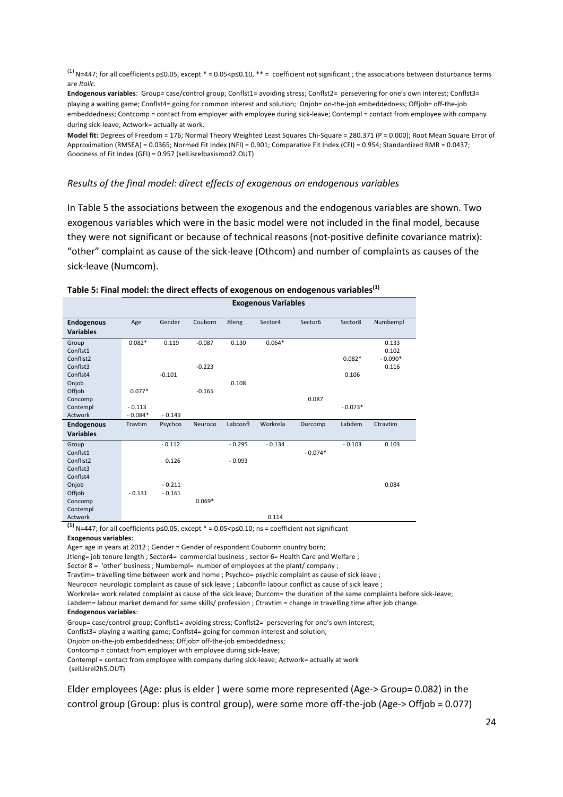(1) N=447; for all coefficients p≤0.05, except \* = 0.05<p≤0.10, \*\* = coefficient not significant ; the associations between disturbance terms are *Italic.*

**Endogenous variables**: Group= case/control group; Conflst1= avoiding stress; Conflst2= persevering for one's own interest; Conflst3= playing a waiting game; Conflst4= going for common interest and solution; Onjob= on-the-job embeddedness; Offjob= off-the-job embeddedness; Contcomp = contact from employer with employee during sick-leave; Contempl = contact from employee with company during sick-leave; Actwork= actually at work.

**Model fit:** Degrees of Freedom = 176; Normal Theory Weighted Least Squares Chi-Square = 280.371 (P = 0.000); Root Mean Square Error of Approximation (RMSEA) = 0.0365; Normed Fit Index (NFI) = 0.901; Comparative Fit Index (CFI) = 0.954; Standardized RMR = 0.0437; Goodness of Fit Index (GFI) = 0.957 (selLisrelbasismod2.OUT)

#### *Results of the final model: direct effects of exogenous on endogenous variables*

In Table 5 the associations between the exogenous and the endogenous variables are shown. Two exogenous variables which were in the basic model were not included in the final model, because they were not significant or because of technical reasons (not-positive definite covariance matrix): "other" complaint as cause of the sick-leave (Othcom) and number of complaints as causes of the sick-leave (Numcom).

|                                       |           |          |          |               | <b>Exogenous Variables</b> |           |           |           |
|---------------------------------------|-----------|----------|----------|---------------|----------------------------|-----------|-----------|-----------|
| <b>Endogenous</b><br><b>Variables</b> | Age       | Gender   | Couborn  | <b>Jtleng</b> | Sector4                    | Sector6   | Sector8   | Numbempl  |
| Group                                 | $0.082*$  | 0.119    | $-0.087$ | 0.130         | $0.064*$                   |           |           | 0.133     |
| Conflst1                              |           |          |          |               |                            |           |           | 0.102     |
| Conflist2                             |           |          |          |               |                            |           | $0.082*$  | $-0.090*$ |
| Conflst3                              |           |          | $-0.223$ |               |                            |           |           | 0.116     |
| Conflst4                              |           | $-0.101$ |          |               |                            |           | 0.106     |           |
| Onjob                                 |           |          |          | 0.108         |                            |           |           |           |
| Offjob                                | $0.077*$  |          | $-0.165$ |               |                            |           |           |           |
| Concomp                               |           |          |          |               |                            | 0.087     |           |           |
| Contempl                              | $-0.113$  |          |          |               |                            |           | $-0.073*$ |           |
| Actwork                               | $-0.084*$ | $-0.149$ |          |               |                            |           |           |           |
| <b>Endogenous</b>                     | Travtim   | Psychco  | Neuroco  | Labconfl      | Workrela                   | Durcomp   | Labdem    | Ctravtim  |
| <b>Variables</b>                      |           |          |          |               |                            |           |           |           |
| Group                                 |           | $-0.112$ |          | $-0.295$      | $-0.134$                   |           | $-0.103$  | 0.103     |
| Conflst1                              |           |          |          |               |                            | $-0.074*$ |           |           |
| Conflist2                             |           | 0.126    |          | $-0.093$      |                            |           |           |           |
| Conflst3                              |           |          |          |               |                            |           |           |           |
| Conflst4                              |           |          |          |               |                            |           |           |           |
| Onjob                                 |           | $-0.211$ |          |               |                            |           |           | 0.084     |
| Offjob                                | $-0.131$  | $-0.161$ |          |               |                            |           |           |           |
| Concomp                               |           |          | $0.069*$ |               |                            |           |           |           |
| Contempl                              |           |          |          |               |                            |           |           |           |
| Actwork                               |           |          |          |               | 0.114                      |           |           |           |

#### **Table 5: Final model: the direct effects of exogenous on endogenous variables(1)**

**(1)** N=447; for all coefficients p≤0.05, except \* = 0.05<p≤0.10; ns = coefficient not significant **Exogenous variables**:

Age= age in years at 2012 ; Gender = Gender of respondent Couborn= country born;

Jtleng= job tenure length ; Sector4= commercial business ; sector 6= Health Care and Welfare ;

Sector 8 = 'other' business; Numbempl= number of employees at the plant/ company;

Travtim= travelling time between work and home ; Psychco= psychic complaint as cause of sick leave ;

Neuroco= neurologic complaint as cause of sick leave ; Labconfl= labour conflict as cause of sick leave ;

Workrela= work related complaint as cause of the sick leave; Durcom= the duration of the same complaints before sick-leave;

Labdem= labour market demand for same skills/ profession ; Ctravtim = change in travelling time after job change.

#### **Endogenous variables**:

Group= case/control group; Conflst1= avoiding stress; Conflst2= persevering for one's own interest;

Conflst3= playing a waiting game; Conflst4= going for common interest and solution;

Onjob= on-the-job embeddedness; Offjob= off-the-job embeddedness;

Contcomp = contact from employer with employee during sick-leave;

Contempl = contact from employee with company during sick-leave; Actwork= actually at work (selLisrel2h5.OUT)

Elder employees (Age: plus is elder ) were some more represented (Age-> Group= 0.082) in the control group (Group: plus is control group), were some more off-the-job (Age-> Offjob = 0.077)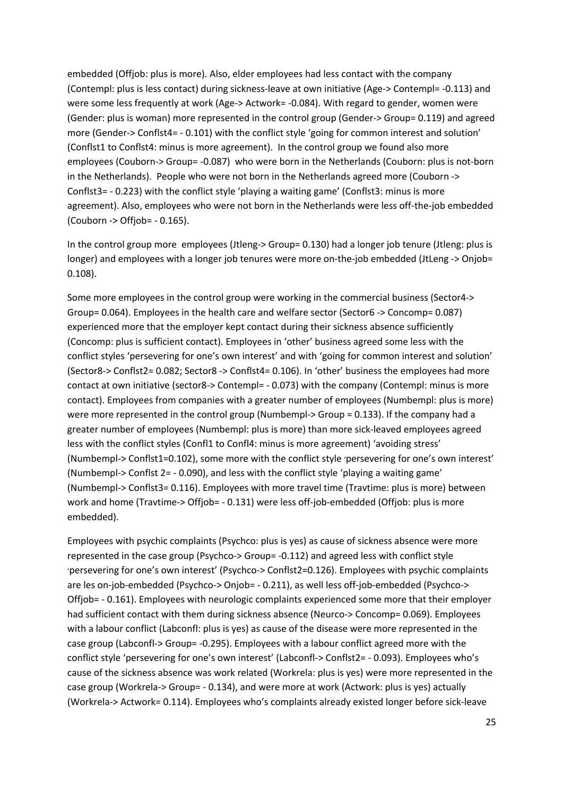embedded (Offjob: plus is more). Also, elder employees had less contact with the company (Contempl: plus is less contact) during sickness-leave at own initiative (Age-> Contempl= -0.113) and were some less frequently at work (Age-> Actwork= -0.084). With regard to gender, women were (Gender: plus is woman) more represented in the control group (Gender-> Group= 0.119) and agreed more (Gender-> Conflst4= - 0.101) with the conflict style 'going for common interest and solution' (Conflst1 to Conflst4: minus is more agreement). In the control group we found also more employees (Couborn-> Group= -0.087) who were born in the Netherlands (Couborn: plus is not-born in the Netherlands). People who were not born in the Netherlands agreed more (Couborn -> Conflst3= - 0.223) with the conflict style 'playing a waiting game' (Conflst3: minus is more agreement). Also, employees who were not born in the Netherlands were less off-the-job embedded (Couborn -> Offjob= - 0.165).

In the control group more employees (Jtleng-> Group= 0.130) had a longer job tenure (Jtleng: plus is longer) and employees with a longer job tenures were more on-the-job embedded (JtLeng -> Onjob= 0.108).

Some more employees in the control group were working in the commercial business (Sector4-> Group= 0.064). Employees in the health care and welfare sector (Sector6 -> Concomp= 0.087) experienced more that the employer kept contact during their sickness absence sufficiently (Concomp: plus is sufficient contact). Employees in 'other' business agreed some less with the conflict styles 'persevering for one's own interest' and with 'going for common interest and solution' (Sector8-> Conflst2= 0.082; Sector8 -> Conflst4= 0.106). In 'other' business the employees had more contact at own initiative (sector8-> Contempl= - 0.073) with the company (Contempl: minus is more contact). Employees from companies with a greater number of employees (Numbempl: plus is more) were more represented in the control group (Numbempl-> Group = 0.133). If the company had a greater number of employees (Numbempl: plus is more) than more sick-leaved employees agreed less with the conflict styles (Confl1 to Confl4: minus is more agreement) 'avoiding stress' (Numbempl-> Conflst1=0.102), some more with the conflict style 'persevering for one's own interest' (Numbempl-> Conflst 2= - 0.090), and less with the conflict style 'playing a waiting game' (Numbempl-> Conflst3= 0.116). Employees with more travel time (Travtime: plus is more) between work and home (Travtime-> Offjob= - 0.131) were less off-job-embedded (Offjob: plus is more embedded).

Employees with psychic complaints (Psychco: plus is yes) as cause of sickness absence were more represented in the case group (Psychco-> Group= -0.112) and agreed less with conflict style 'persevering for one's own interest' (Psychco-> Conflst2=0.126). Employees with psychic complaints are les on-job-embedded (Psychco-> Onjob= - 0.211), as well less off-job-embedded (Psychco-> Offjob= - 0.161). Employees with neurologic complaints experienced some more that their employer had sufficient contact with them during sickness absence (Neurco-> Concomp= 0.069). Employees with a labour conflict (Labconfl: plus is yes) as cause of the disease were more represented in the case group (Labconfl-> Group= -0.295). Employees with a labour conflict agreed more with the conflict style 'persevering for one's own interest' (Labconfl-> Conflst2= - 0.093). Employees who's cause of the sickness absence was work related (Workrela: plus is yes) were more represented in the case group (Workrela-> Group= - 0.134), and were more at work (Actwork: plus is yes) actually (Workrela-> Actwork= 0.114). Employees who's complaints already existed longer before sick-leave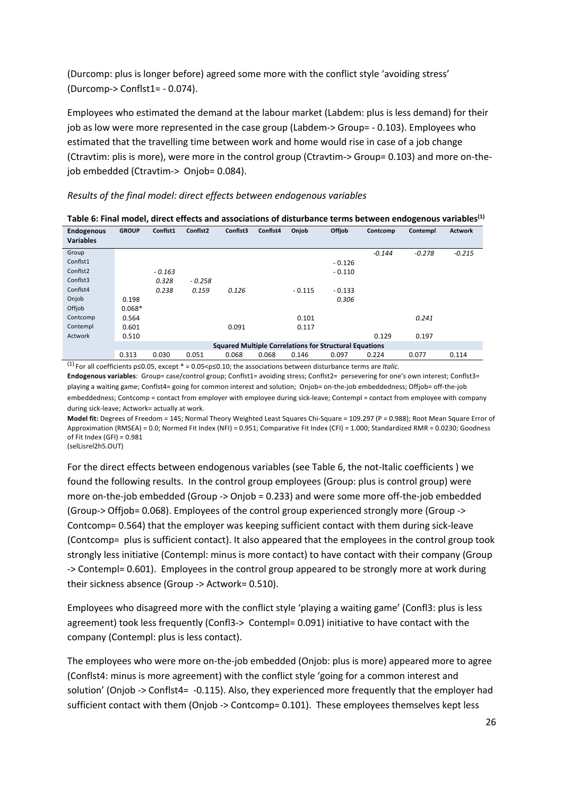(Durcomp: plus is longer before) agreed some more with the conflict style 'avoiding stress' (Durcomp-> Conflst1= - 0.074).

Employees who estimated the demand at the labour market (Labdem: plus is less demand) for their job as low were more represented in the case group (Labdem-> Group= - 0.103). Employees who estimated that the travelling time between work and home would rise in case of a job change (Ctravtim: plis is more), were more in the control group (Ctravtim-> Group= 0.103) and more on-thejob embedded (Ctravtim-> Onjob= 0.084).

| Results of the final model: direct effects between endogenous variables |
|-------------------------------------------------------------------------|
|-------------------------------------------------------------------------|

| <b>Endogenous</b><br><b>Variables</b> | <b>GROUP</b> | Conflst1 | Conflst2 | Conflst3 | Conflst4 | Onjob    | Offjob                                                        | Contcomp | Contempl | <b>Actwork</b> |
|---------------------------------------|--------------|----------|----------|----------|----------|----------|---------------------------------------------------------------|----------|----------|----------------|
|                                       |              |          |          |          |          |          |                                                               |          |          |                |
| Group                                 |              |          |          |          |          |          |                                                               | $-0.144$ | $-0.278$ | $-0.215$       |
| Conflst1                              |              |          |          |          |          |          | $-0.126$                                                      |          |          |                |
| Conflst <sub>2</sub>                  |              | $-0.163$ |          |          |          |          | $-0.110$                                                      |          |          |                |
| Conflst3                              |              | 0.328    | $-0.258$ |          |          |          |                                                               |          |          |                |
| Conflst4                              |              | 0.238    | 0.159    | 0.126    |          | $-0.115$ | $-0.133$                                                      |          |          |                |
| Onjob                                 | 0.198        |          |          |          |          |          | 0.306                                                         |          |          |                |
| Offiob                                | $0.068*$     |          |          |          |          |          |                                                               |          |          |                |
| Contcomp                              | 0.564        |          |          |          |          | 0.101    |                                                               |          | 0.241    |                |
| Contempl                              | 0.601        |          |          | 0.091    |          | 0.117    |                                                               |          |          |                |
| Actwork                               | 0.510        |          |          |          |          |          |                                                               | 0.129    | 0.197    |                |
|                                       |              |          |          |          |          |          | <b>Squared Multiple Correlations for Structural Equations</b> |          |          |                |
|                                       | 0.313        | 0.030    | 0.051    | 0.068    | 0.068    | 0.146    | 0.097                                                         | 0.224    | 0.077    | 0.114          |

|  | Table 6: Final model, direct effects and associations of disturbance terms between endogenous variables <sup>(1)</sup> |  |  |
|--|------------------------------------------------------------------------------------------------------------------------|--|--|
|--|------------------------------------------------------------------------------------------------------------------------|--|--|

(1) For all coefficients p≤0.05, except \* = 0.05<p≤0.10; the associations between disturbance terms are *Italic.*

**Endogenous variables**: Group= case/control group; Conflst1= avoiding stress; Conflst2= persevering for one's own interest; Conflst3= playing a waiting game; Conflst4= going for common interest and solution; Onjob= on-the-job embeddedness; Offjob= off-the-job embeddedness; Contcomp = contact from employer with employee during sick-leave; Contempl = contact from employee with company during sick-leave; Actwork= actually at work.

**Model fit:** Degrees of Freedom = 145; Normal Theory Weighted Least Squares Chi-Square = 109.297 (P = 0.988); Root Mean Square Error of Approximation (RMSEA) = 0.0; Normed Fit Index (NFI) = 0.951; Comparative Fit Index (CFI) = 1.000; Standardized RMR = 0.0230; Goodness of Fit Index (GFI) = 0.981

(selLisrel2h5.OUT)

For the direct effects between endogenous variables (see Table 6, the not-Italic coefficients ) we found the following results. In the control group employees (Group: plus is control group) were more on-the-job embedded (Group -> Onjob = 0.233) and were some more off-the-job embedded (Group-> Offjob= 0.068). Employees of the control group experienced strongly more (Group -> Contcomp= 0.564) that the employer was keeping sufficient contact with them during sick-leave (Contcomp= plus is sufficient contact). It also appeared that the employees in the control group took strongly less initiative (Contempl: minus is more contact) to have contact with their company (Group -> Contempl= 0.601). Employees in the control group appeared to be strongly more at work during their sickness absence (Group -> Actwork= 0.510).

Employees who disagreed more with the conflict style 'playing a waiting game' (Confl3: plus is less agreement) took less frequently (Confl3-> Contempl= 0.091) initiative to have contact with the company (Contempl: plus is less contact).

The employees who were more on-the-job embedded (Onjob: plus is more) appeared more to agree (Conflst4: minus is more agreement) with the conflict style 'going for a common interest and solution' (Onjob -> Conflst4= -0.115). Also, they experienced more frequently that the employer had sufficient contact with them (Onjob -> Contcomp= 0.101). These employees themselves kept less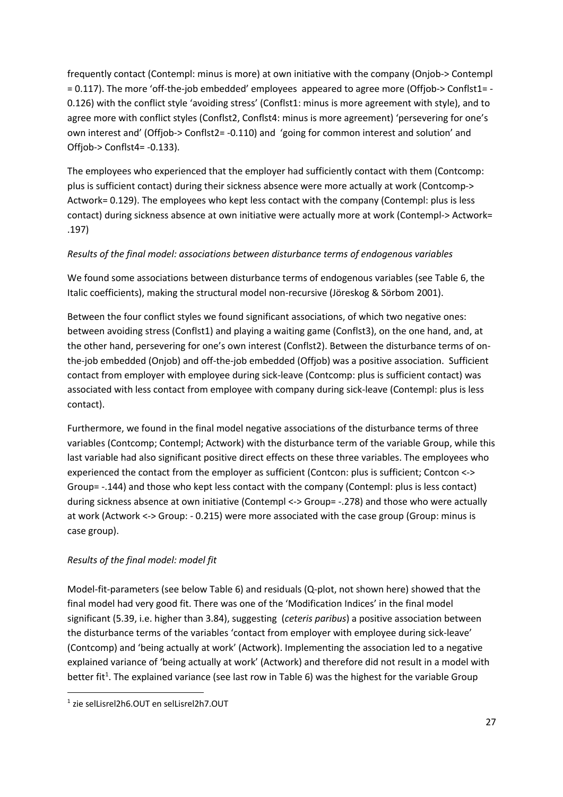frequently contact (Contempl: minus is more) at own initiative with the company (Onjob-> Contempl = 0.117). The more 'off-the-job embedded' employees appeared to agree more (Offjob-> Conflst1= - 0.126) with the conflict style 'avoiding stress' (Conflst1: minus is more agreement with style), and to agree more with conflict styles (Conflst2, Conflst4: minus is more agreement) 'persevering for one's own interest and' (Offjob-> Conflst2= -0.110) and 'going for common interest and solution' and Offjob-> Conflst4= -0.133).

The employees who experienced that the employer had sufficiently contact with them (Contcomp: plus is sufficient contact) during their sickness absence were more actually at work (Contcomp-> Actwork= 0.129). The employees who kept less contact with the company (Contempl: plus is less contact) during sickness absence at own initiative were actually more at work (Contempl-> Actwork= .197)

## *Results of the final model: associations between disturbance terms of endogenous variables*

We found some associations between disturbance terms of endogenous variables (see Table 6, the Italic coefficients), making the structural model non-recursive (Jöreskog & Sörbom 2001).

Between the four conflict styles we found significant associations, of which two negative ones: between avoiding stress (Conflst1) and playing a waiting game (Conflst3), on the one hand, and, at the other hand, persevering for one's own interest (Conflst2). Between the disturbance terms of onthe-job embedded (Onjob) and off-the-job embedded (Offjob) was a positive association. Sufficient contact from employer with employee during sick-leave (Contcomp: plus is sufficient contact) was associated with less contact from employee with company during sick-leave (Contempl: plus is less contact).

Furthermore, we found in the final model negative associations of the disturbance terms of three variables (Contcomp; Contempl; Actwork) with the disturbance term of the variable Group, while this last variable had also significant positive direct effects on these three variables. The employees who experienced the contact from the employer as sufficient (Contcon: plus is sufficient; Contcon <-> Group= -.144) and those who kept less contact with the company (Contempl: plus is less contact) during sickness absence at own initiative (Contempl <-> Group= -.278) and those who were actually at work (Actwork <-> Group: - 0.215) were more associated with the case group (Group: minus is case group).

## *Results of the final model: model fit*

Model-fit-parameters (see below Table 6) and residuals (Q-plot, not shown here) showed that the final model had very good fit. There was one of the 'Modification Indices' in the final model significant (5.39, i.e. higher than 3.84), suggesting (*ceteris paribus*) a positive association between the disturbance terms of the variables 'contact from employer with employee during sick-leave' (Contcomp) and 'being actually at work' (Actwork). Implementing the association led to a negative explained variance of 'being actually at work' (Actwork) and therefore did not result in a model with better fit<sup>1</sup>. The explained variance (see last row in Table 6) was the highest for the variable Group

<sup>1</sup> zie selLisrel2h6.OUT en selLisrel2h7.OUT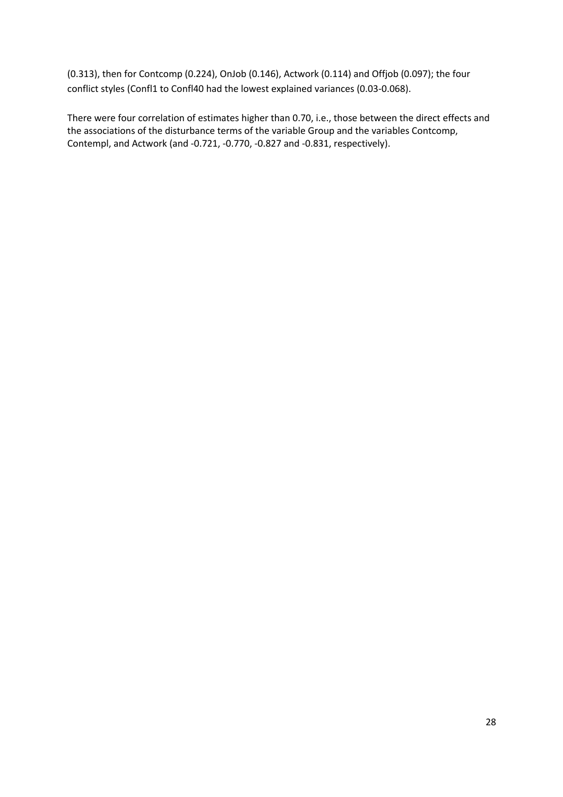(0.313), then for Contcomp (0.224), OnJob (0.146), Actwork (0.114) and Offjob (0.097); the four conflict styles (Confl1 to Confl40 had the lowest explained variances (0.03-0.068).

There were four correlation of estimates higher than 0.70, i.e., those between the direct effects and the associations of the disturbance terms of the variable Group and the variables Contcomp, Contempl, and Actwork (and -0.721, -0.770, -0.827 and -0.831, respectively).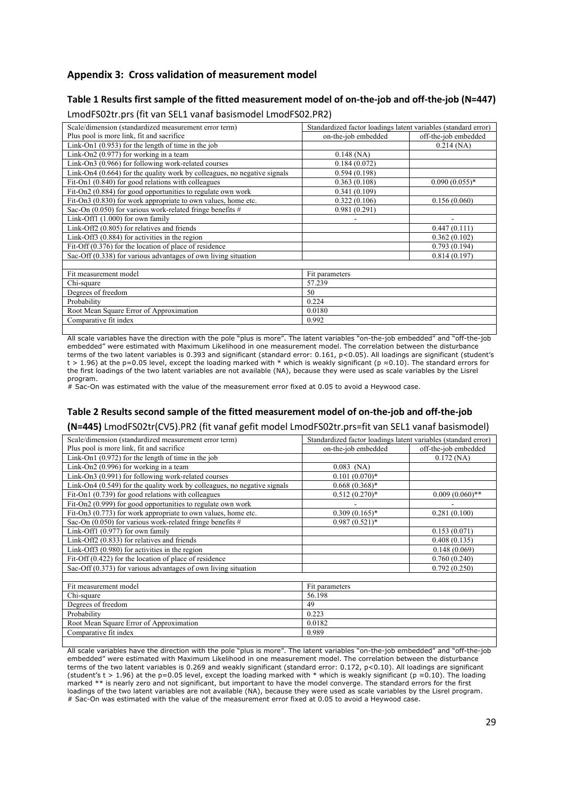### **Appendix 3: Cross validation of measurement model**

#### **Table 1 Results first sample of the fitted measurement model of on-the-job and off-the-job (N=447)**

| Scale/dimension (standardized measurement error term)                      | Standardized factor loadings latent variables (standard error) |                      |
|----------------------------------------------------------------------------|----------------------------------------------------------------|----------------------|
| Plus pool is more link, fit and sacrifice                                  | on-the-job embedded                                            | off-the-job embedded |
| Link-On1 $(0.953)$ for the length of time in the job                       |                                                                | $0.214$ (NA)         |
| Link-On2 $(0.977)$ for working in a team                                   | $0.148$ (NA)                                                   |                      |
| Link-On3 (0.966) for following work-related courses                        | 0.184(0.072)                                                   |                      |
| Link-On4 $(0.664)$ for the quality work by colleagues, no negative signals | 0.594(0.198)                                                   |                      |
| Fit-On1 (0.840) for good relations with colleagues                         | 0.363(0.108)                                                   | $0.090(0.055)*$      |
| Fit-On2 (0.884) for good opportunities to regulate own work                | 0.341(0.109)                                                   |                      |
| Fit-On3 (0.830) for work appropriate to own values, home etc.              | 0.322(0.106)                                                   | 0.156(0.060)         |
| Sac-On $(0.050)$ for various work-related fringe benefits #                | 0.981(0.291)                                                   |                      |
| Link-Off1 $(1.000)$ for own family                                         |                                                                | ۰                    |
| Link-Off2 (0.805) for relatives and friends                                |                                                                | 0.447(0.111)         |
| Link-Off3 $(0.884)$ for activities in the region                           |                                                                | 0.362(0.102)         |
| Fit-Off $(0.376)$ for the location of place of residence                   |                                                                | 0.793(0.194)         |
| Sac-Off (0.338) for various advantages of own living situation             |                                                                | 0.814(0.197)         |
|                                                                            |                                                                |                      |
| Fit measurement model                                                      | Fit parameters                                                 |                      |
| Chi-square                                                                 | 57.239                                                         |                      |
| Degrees of freedom                                                         | 50                                                             |                      |
| Probability                                                                | 0.224                                                          |                      |
| Root Mean Square Error of Approximation                                    | 0.0180                                                         |                      |
| Comparative fit index                                                      | 0.992                                                          |                      |
|                                                                            |                                                                |                      |

LmodFS02tr.prs (fit van SEL1 vanaf basismodel LmodFS02.PR2)

All scale variables have the direction with the pole "plus is more". The latent variables "on-the-job embedded" and "off-the-job embedded" were estimated with Maximum Likelihood in one measurement model. The correlation between the disturbance terms of the two latent variables is 0.393 and significant (standard error: 0.161, p<0.05). All loadings are significant (student's t > 1.96) at the p=0.05 level, except the loading marked with \* which is weakly significant (p ≈0.10). The standard errors for the first loadings of the two latent variables are not available (NA), because they were used as scale variables by the Lisrel program.

 $\frac{1}{4}$  Sac-On was estimated with the value of the measurement error fixed at 0.05 to avoid a Heywood case.

#### **Table 2 Results second sample of the fitted measurement model of on-the-job and off-the-job**

**(N=445)** LmodFS02tr(CV5).PR2 (fit vanaf gefit model LmodFS02tr.prs=fit van SEL1 vanaf basismodel)

| Scale/dimension (standardized measurement error term)                      | Standardized factor loadings latent variables (standard error) |                      |
|----------------------------------------------------------------------------|----------------------------------------------------------------|----------------------|
| Plus pool is more link, fit and sacrifice                                  | on-the-job embedded                                            | off-the-job embedded |
| Link-On1 $(0.972)$ for the length of time in the job                       |                                                                | $0.172$ (NA)         |
| Link-On2 (0.996) for working in a team                                     | $0.083$ (NA)                                                   |                      |
| Link-On3 (0.991) for following work-related courses                        | $0.101(0.070)*$                                                |                      |
| Link-On4 $(0.549)$ for the quality work by colleagues, no negative signals | $0.668(0.368)*$                                                |                      |
| Fit-On1 $(0.739)$ for good relations with colleagues                       | $0.512(0.270)*$                                                | $0.009(0.060)$ **    |
| Fit-On2 (0.999) for good opportunities to regulate own work                |                                                                |                      |
| Fit-On3 (0.773) for work appropriate to own values, home etc.              | $0.309(0.165)*$                                                | 0.281(0.100)         |
| Sac-On $(0.050)$ for various work-related fringe benefits #                | $0.987(0.521)^*$                                               |                      |
| Link-Off1 (0.977) for own family                                           |                                                                | 0.153(0.071)         |
| Link-Off2 (0.833) for relatives and friends                                |                                                                | 0.408(0.135)         |
| Link-Off3 $(0.980)$ for activities in the region                           |                                                                | 0.148(0.069)         |
| Fit-Off $(0.422)$ for the location of place of residence                   |                                                                | 0.760(0.240)         |
| Sac-Off $(0.373)$ for various advantages of own living situation           |                                                                | 0.792(0.250)         |
|                                                                            |                                                                |                      |
| Fit measurement model                                                      | Fit parameters                                                 |                      |
| Chi-square                                                                 | 56.198                                                         |                      |
| Degrees of freedom                                                         | 49                                                             |                      |
| Probability                                                                | 0.223                                                          |                      |
| Root Mean Square Error of Approximation                                    | 0.0182                                                         |                      |
| Comparative fit index                                                      | 0.989                                                          |                      |

All scale variables have the direction with the pole "plus is more". The latent variables "on-the-job embedded" and "off-the-job embedded" were estimated with Maximum Likelihood in one measurement model. The correlation between the disturbance terms of the two latent variables is 0.269 and weakly significant (standard error: 0.172, p<0.10). All loadings are significant (student's t > 1.96) at the p=0.05 level, except the loading marked with \* which is weakly significant (p ≈0.10). The loading marked \*\* is nearly zero and not significant, but important to have the model converge. The standard errors for the first loadings of the two latent variables are not available (NA), because they were used as scale variables by the Lisrel program. # Sac-On was estimated with the value of the measurement error fixed at 0.05 to avoid a Heywood case.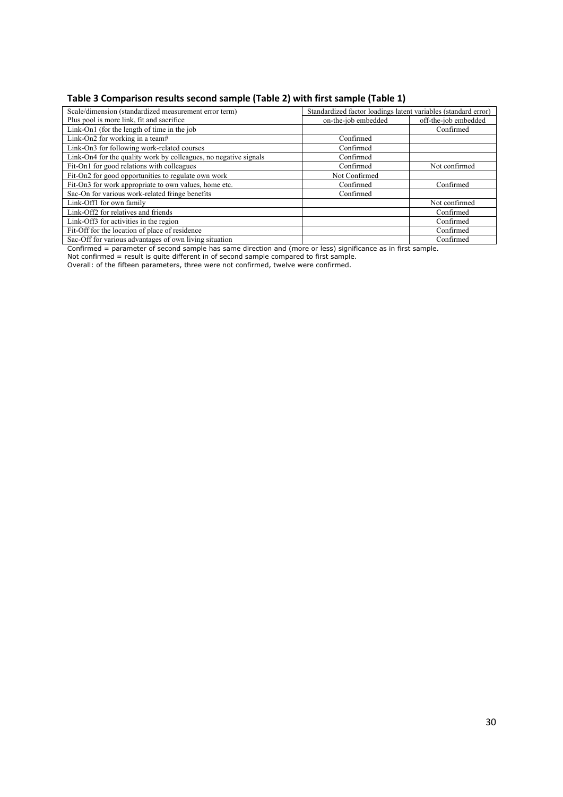## **Table 3 Comparison results second sample (Table 2) with first sample (Table 1)**

| Scale/dimension (standardized measurement error term)            | Standardized factor loadings latent variables (standard error) |                      |  |  |  |
|------------------------------------------------------------------|----------------------------------------------------------------|----------------------|--|--|--|
| Plus pool is more link, fit and sacrifice                        | on-the-job embedded                                            | off-the-job embedded |  |  |  |
| Link-On1 (for the length of time in the job                      |                                                                | Confirmed            |  |  |  |
| Link-On2 for working in a team#                                  | Confirmed                                                      |                      |  |  |  |
| Link-On3 for following work-related courses                      | Confirmed                                                      |                      |  |  |  |
| Link-On4 for the quality work by colleagues, no negative signals | Confirmed                                                      |                      |  |  |  |
| Fit-On1 for good relations with colleagues                       | Confirmed                                                      | Not confirmed        |  |  |  |
| Fit-On2 for good opportunities to regulate own work              | Not Confirmed                                                  |                      |  |  |  |
| Fit-On3 for work appropriate to own values, home etc.            | Confirmed                                                      | Confirmed            |  |  |  |
| Sac-On for various work-related fringe benefits                  | Confirmed                                                      |                      |  |  |  |
| Link-Off1 for own family                                         |                                                                | Not confirmed        |  |  |  |
| Link-Off2 for relatives and friends                              |                                                                | Confirmed            |  |  |  |
| Link-Off3 for activities in the region                           |                                                                | Confirmed            |  |  |  |
| Fit-Off for the location of place of residence                   |                                                                | Confirmed            |  |  |  |
| Sac-Off for various advantages of own living situation           |                                                                | Confirmed            |  |  |  |

Confirmed = parameter of second sample has same direction and (more or less) significance as in first sample.

Not confirmed = result is quite different in of second sample compared to first sample.

Overall: of the fifteen parameters, three were not confirmed, twelve were confirmed.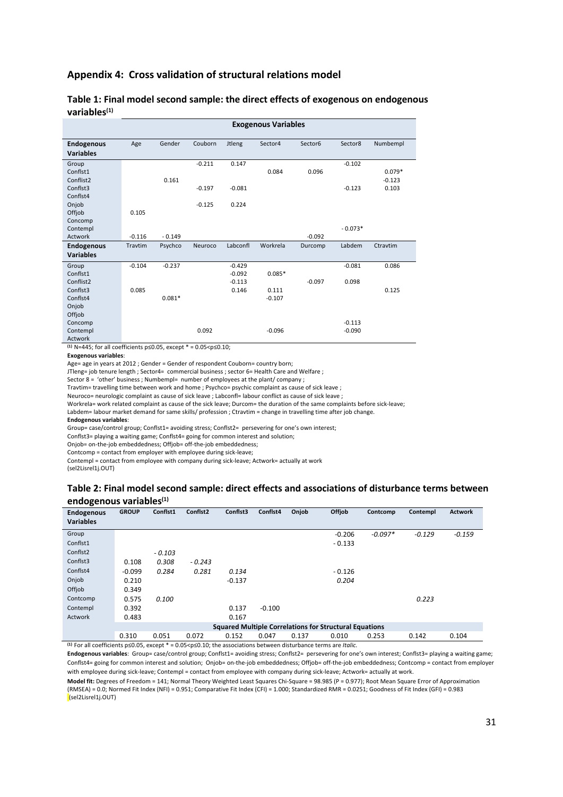#### **Appendix 4: Cross validation of structural relations model**

|                   | <b>Exogenous Variables</b> |          |          |               |          |          |           |          |
|-------------------|----------------------------|----------|----------|---------------|----------|----------|-----------|----------|
| <b>Endogenous</b> | Age                        | Gender   | Couborn  | <b>Jtleng</b> | Sector4  | Sector6  | Sector8   | Numbempl |
| <b>Variables</b>  |                            |          |          |               |          |          |           |          |
| Group             |                            |          | $-0.211$ | 0.147         |          |          | $-0.102$  |          |
| Conflst1          |                            |          |          |               | 0.084    | 0.096    |           | $0.079*$ |
| Conflist2         |                            | 0.161    |          |               |          |          |           | $-0.123$ |
| Conflst3          |                            |          | $-0.197$ | $-0.081$      |          |          | $-0.123$  | 0.103    |
| Conflst4          |                            |          |          |               |          |          |           |          |
| Onjob             |                            |          | $-0.125$ | 0.224         |          |          |           |          |
| Offjob            | 0.105                      |          |          |               |          |          |           |          |
| Concomp           |                            |          |          |               |          |          |           |          |
| Contempl          |                            |          |          |               |          |          | $-0.073*$ |          |
| Actwork           | $-0.116$                   | $-0.149$ |          |               |          | $-0.092$ |           |          |
| <b>Endogenous</b> | Travtim                    | Psychco  | Neuroco  | Labconfl      | Workrela | Durcomp  | Labdem    | Ctravtim |
| <b>Variables</b>  |                            |          |          |               |          |          |           |          |
| Group             | $-0.104$                   | $-0.237$ |          | $-0.429$      |          |          | $-0.081$  | 0.086    |
| Conflst1          |                            |          |          | $-0.092$      | $0.085*$ |          |           |          |
| Conflist2         |                            |          |          | $-0.113$      |          | $-0.097$ | 0.098     |          |
| Conflst3          | 0.085                      |          |          | 0.146         | 0.111    |          |           | 0.125    |
| Conflst4          |                            | $0.081*$ |          |               | $-0.107$ |          |           |          |
| Onjob             |                            |          |          |               |          |          |           |          |
| Offjob            |                            |          |          |               |          |          |           |          |
| Concomp           |                            |          |          |               |          |          | $-0.113$  |          |
| Contempl          |                            |          | 0.092    |               | $-0.096$ |          | $-0.090$  |          |
| Actwork           |                            |          |          |               |          |          |           |          |

#### **Table 1: Final model second sample: the direct effects of exogenous on endogenous variables(1)**

**(1)** N=445; for all coefficients p≤0.05, except \* = 0.05<p≤0.10;

Age= age in years at 2012 ; Gender = Gender of respondent Couborn= country born;

JTleng= job tenure length ; Sector4= commercial business ; sector 6= Health Care and Welfare ;

Sector 8 = 'other' business ; Numbempl= number of employees at the plant/ company ;

Travtim= travelling time between work and home ; Psychco= psychic complaint as cause of sick leave ;

Neuroco= neurologic complaint as cause of sick leave ; Labconfl= labour conflict as cause of sick leave ;

Workrela= work related complaint as cause of the sick leave; Durcom= the duration of the same complaints before sick-leave;

Labdem= labour market demand for same skills/ profession ; Ctravtim = change in travelling time after job change.

**Endogenous variables**:

Group= case/control group; Conflst1= avoiding stress; Conflst2= persevering for one's own interest;

Conflst3= playing a waiting game; Conflst4= going for common interest and solution;

Onjob= on-the-job embeddedness; Offjob= off-the-job embeddedness;

Contcomp = contact from employer with employee during sick-leave;

Contempl = contact from employee with company during sick-leave; Actwork= actually at work

(sel2Lisrel1j.OUT)

#### **Table 2: Final model second sample: direct effects and associations of disturbance terms between endogenous variables(1)**

| ັ<br>Endogenous      | <b>GROUP</b> | Conflst1 | Conflst2 | Conflst3 | Conflst4 | Onjob | Offjob                                                        | Contcomp  | Contempl | <b>Actwork</b> |
|----------------------|--------------|----------|----------|----------|----------|-------|---------------------------------------------------------------|-----------|----------|----------------|
| <b>Variables</b>     |              |          |          |          |          |       |                                                               |           |          |                |
| Group                |              |          |          |          |          |       | $-0.206$                                                      | $-0.097*$ | $-0.129$ | $-0.159$       |
| Conflst1             |              |          |          |          |          |       | $-0.133$                                                      |           |          |                |
| Conflst <sub>2</sub> |              | $-0.103$ |          |          |          |       |                                                               |           |          |                |
| Conflst3             | 0.108        | 0.308    | $-0.243$ |          |          |       |                                                               |           |          |                |
| Conflst4             | $-0.099$     | 0.284    | 0.281    | 0.134    |          |       | $-0.126$                                                      |           |          |                |
| Onjob                | 0.210        |          |          | $-0.137$ |          |       | 0.204                                                         |           |          |                |
| Offjob               | 0.349        |          |          |          |          |       |                                                               |           |          |                |
| Contcomp             | 0.575        | 0.100    |          |          |          |       |                                                               |           | 0.223    |                |
| Contempl             | 0.392        |          |          | 0.137    | $-0.100$ |       |                                                               |           |          |                |
| Actwork              | 0.483        |          |          | 0.167    |          |       |                                                               |           |          |                |
|                      |              |          |          |          |          |       | <b>Squared Multiple Correlations for Structural Equations</b> |           |          |                |
|                      | 0.310        | 0.051    | 0.072    | 0.152    | 0.047    | 0.137 | 0.010                                                         | 0.253     | 0.142    | 0.104          |

**(1)** For all coefficients p≤0.05, except \* = 0.05<p≤0.10; the associations between disturbance terms are *Italic.*

**Endogenous variables**: Group= case/control group; Conflst1= avoiding stress; Conflst2= persevering for one's own interest; Conflst3= playing a waiting game; Conflst4= going for common interest and solution; Onjob= on-the-job embeddedness; Offjob= off-the-job embeddedness; Contcomp = contact from employer with employee during sick-leave; Contempl = contact from employee with company during sick-leave; Actwork= actually at work.

**Model fit:** Degrees of Freedom = 141; Normal Theory Weighted Least Squares Chi-Square = 98.985 (P = 0.977); Root Mean Square Error of Approximation (RMSEA) = 0.0; Normed Fit Index (NFI) = 0.951; Comparative Fit Index (CFI) = 1.000; Standardized RMR = 0.0251; Goodness of Fit Index (GFI) = 0.983 (sel2Lisrel1j.OUT)

**Exogenous variables**: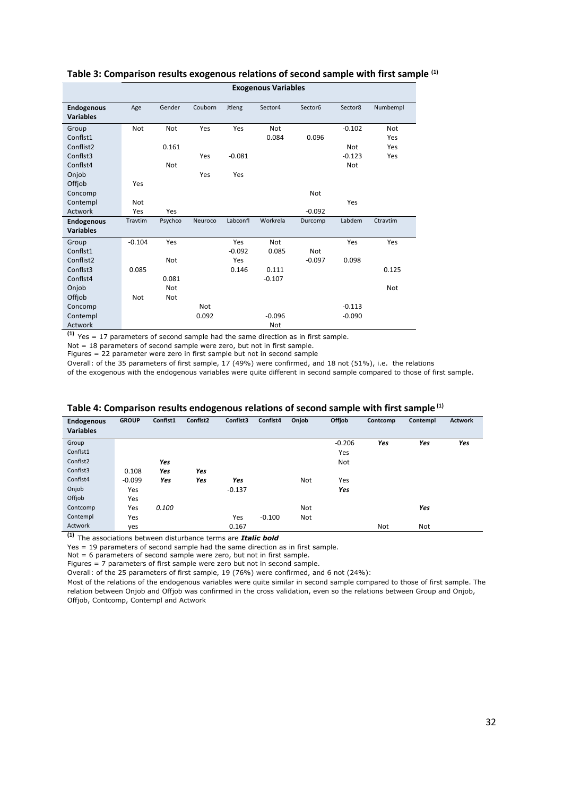|                                | <b>Exogenous Variables</b> |            |            |               |          |          |          |            |
|--------------------------------|----------------------------|------------|------------|---------------|----------|----------|----------|------------|
| Endogenous<br><b>Variables</b> | Age                        | Gender     | Couborn    | <b>Jtleng</b> | Sector4  | Sector6  | Sector8  | Numbempl   |
| Group                          | <b>Not</b>                 | Not        | Yes        | Yes           | Not      |          | $-0.102$ | <b>Not</b> |
| Conflst1                       |                            |            |            |               | 0.084    | 0.096    |          | Yes        |
| Conflist2                      |                            | 0.161      |            |               |          |          | Not      | Yes        |
| Conflst3                       |                            |            | Yes        | $-0.081$      |          |          | $-0.123$ | Yes        |
| Conflst4                       |                            | <b>Not</b> |            |               |          |          | Not      |            |
| Onjob                          |                            |            | Yes        | Yes           |          |          |          |            |
| Offjob                         | Yes                        |            |            |               |          |          |          |            |
| Concomp                        |                            |            |            |               |          | Not      |          |            |
| Contempl                       | <b>Not</b>                 |            |            |               |          |          | Yes      |            |
| Actwork                        | Yes                        | Yes        |            |               |          | $-0.092$ |          |            |
| <b>Endogenous</b>              | Travtim                    | Psychco    | Neuroco    | Labconfl      | Workrela | Durcomp  | Labdem   | Ctravtim   |
| <b>Variables</b>               |                            |            |            |               |          |          |          |            |
| Group                          | $-0.104$                   | Yes        |            | Yes           | Not      |          | Yes      | Yes        |
| Conflst1                       |                            |            |            | $-0.092$      | 0.085    | Not      |          |            |
| Conflist2                      |                            | <b>Not</b> |            | Yes           |          | $-0.097$ | 0.098    |            |
| Conflst3                       | 0.085                      |            |            | 0.146         | 0.111    |          |          | 0.125      |
| Conflst4                       |                            | 0.081      |            |               | $-0.107$ |          |          |            |
| Onjob                          |                            | <b>Not</b> |            |               |          |          |          | <b>Not</b> |
| Offjob                         | <b>Not</b>                 | <b>Not</b> |            |               |          |          |          |            |
| Concomp                        |                            |            | <b>Not</b> |               |          |          | $-0.113$ |            |
| Contempl                       |                            |            | 0.092      |               | $-0.096$ |          | $-0.090$ |            |
| Actwork                        |                            |            |            |               | Not      |          |          |            |

## **Table 3: Comparison results exogenous relations of second sample with first sample (1)**

**(1)** Yes = 17 parameters of second sample had the same direction as in first sample.

Not = 18 parameters of second sample were zero, but not in first sample.

Figures = 22 parameter were zero in first sample but not in second sample

Overall: of the 35 parameters of first sample, 17 (49%) were confirmed, and 18 not (51%), i.e. the relations

of the exogenous with the endogenous variables were quite different in second sample compared to those of first sample.

| <b>Endogenous</b><br><b>Variables</b> | <b>GROUP</b> | Conflst1 | Conflst2 | Conflst3 | Conflst4 | Onjob | Offjob   | Contcomp | Contempl | <b>Actwork</b> |
|---------------------------------------|--------------|----------|----------|----------|----------|-------|----------|----------|----------|----------------|
| Group                                 |              |          |          |          |          |       | $-0.206$ | Yes      | Yes      | Yes            |
| Conflst1                              |              |          |          |          |          |       | Yes      |          |          |                |
| Conflst2                              |              | Yes      |          |          |          |       | Not      |          |          |                |
| Conflst3                              | 0.108        | Yes      | Yes      |          |          |       |          |          |          |                |
| Conflst4                              | $-0.099$     | Yes      | Yes      | Yes      |          | Not   | Yes      |          |          |                |
| Onjob                                 | Yes          |          |          | $-0.137$ |          |       | Yes      |          |          |                |
| Offjob                                | Yes          |          |          |          |          |       |          |          |          |                |
| Contcomp                              | Yes          | 0.100    |          |          |          | Not   |          |          | Yes      |                |
| Contempl                              | Yes          |          |          | Yes      | $-0.100$ | Not   |          |          |          |                |
| Actwork                               | yes          |          |          | 0.167    |          |       |          | Not      | Not      |                |

#### **Table 4: Comparison results endogenous relations of second sample with first sample (1)**

**(1)** The associations between disturbance terms are *Italic bold*

Yes = 19 parameters of second sample had the same direction as in first sample.

Not = 6 parameters of second sample were zero, but not in first sample.

Figures = 7 parameters of first sample were zero but not in second sample.

Overall: of the 25 parameters of first sample, 19 (76%) were confirmed, and 6 not (24%):

Most of the relations of the endogenous variables were quite similar in second sample compared to those of first sample. The relation between Onjob and Offjob was confirmed in the cross validation, even so the relations between Group and Onjob, Offjob, Contcomp, Contempl and Actwork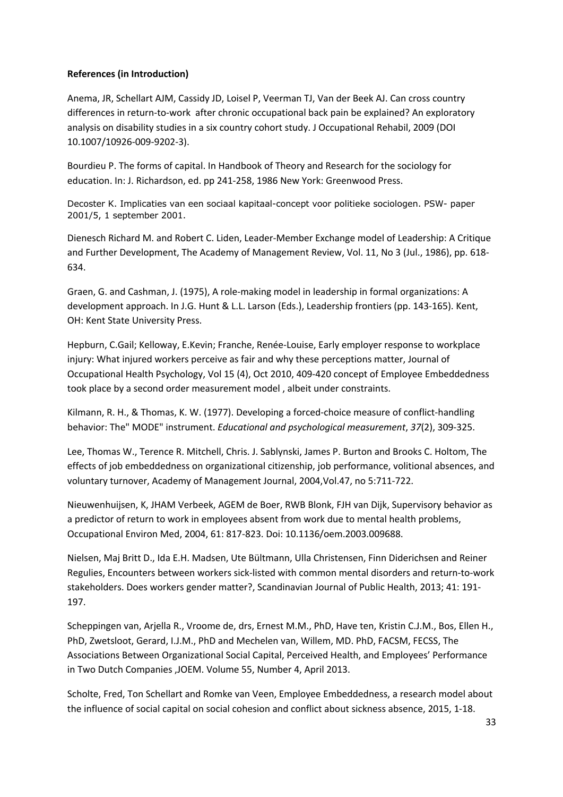### **References (in Introduction)**

Anema, JR, Schellart AJM, Cassidy JD, Loisel P, Veerman TJ, Van der Beek AJ. Can cross country differences in return-to-work after chronic occupational back pain be explained? An exploratory analysis on disability studies in a six country cohort study. J Occupational Rehabil, 2009 (DOI 10.1007/10926-009-9202-3).

Bourdieu P. The forms of capital. In Handbook of Theory and Research for the sociology for education. In: J. Richardson, ed. pp 241-258, 1986 New York: Greenwood Press.

Decoster K. Implicaties van een sociaal kapitaal-concept voor politieke sociologen. PSW- paper 2001/5, 1 september 2001.

Dienesch Richard M. and Robert C. Liden, Leader-Member Exchange model of Leadership: A Critique and Further Development, The Academy of Management Review, Vol. 11, No 3 (Jul., 1986), pp. 618- 634.

Graen, G. and Cashman, J. (1975), A role-making model in leadership in formal organizations: A development approach. In J.G. Hunt & L.L. Larson (Eds.), Leadership frontiers (pp. 143-165). Kent, OH: Kent State University Press.

Hepburn, C.Gail; Kelloway, E.Kevin; Franche, Renée-Louise, Early employer response to workplace injury: What injured workers perceive as fair and why these perceptions matter, Journal of Occupational Health Psychology, Vol 15 (4), Oct 2010, 409-420 concept of Employee Embeddedness took place by a second order measurement model , albeit under constraints.

Kilmann, R. H., & Thomas, K. W. (1977). Developing a forced-choice measure of conflict-handling behavior: The" MODE" instrument. *Educational and psychological measurement*, *37*(2), 309-325.

Lee, Thomas W., Terence R. Mitchell, Chris. J. Sablynski, James P. Burton and Brooks C. Holtom, The effects of job embeddedness on organizational citizenship, job performance, volitional absences, and voluntary turnover, Academy of Management Journal, 2004,Vol.47, no 5:711-722.

Nieuwenhuijsen, K, JHAM Verbeek, AGEM de Boer, RWB Blonk, FJH van Dijk, Supervisory behavior as a predictor of return to work in employees absent from work due to mental health problems, Occupational Environ Med, 2004, 61: 817-823. Doi: 10.1136/oem.2003.009688.

Nielsen, Maj Britt D., Ida E.H. Madsen, Ute Bültmann, Ulla Christensen, Finn Diderichsen and Reiner Regulies, Encounters between workers sick-listed with common mental disorders and return-to-work stakeholders. Does workers gender matter?, Scandinavian Journal of Public Health, 2013; 41: 191- 197.

Scheppingen van, Arjella R., Vroome de, drs, Ernest M.M., PhD, Have ten, Kristin C.J.M., Bos, Ellen H., PhD, Zwetsloot, Gerard, I.J.M., PhD and Mechelen van, Willem, MD. PhD, FACSM, FECSS, The Associations Between Organizational Social Capital, Perceived Health, and Employees' Performance in Two Dutch Companies ,JOEM. Volume 55, Number 4, April 2013.

Scholte, Fred, Ton Schellart and Romke van Veen, Employee Embeddedness, a research model about the influence of social capital on social cohesion and conflict about sickness absence, 2015, 1-18.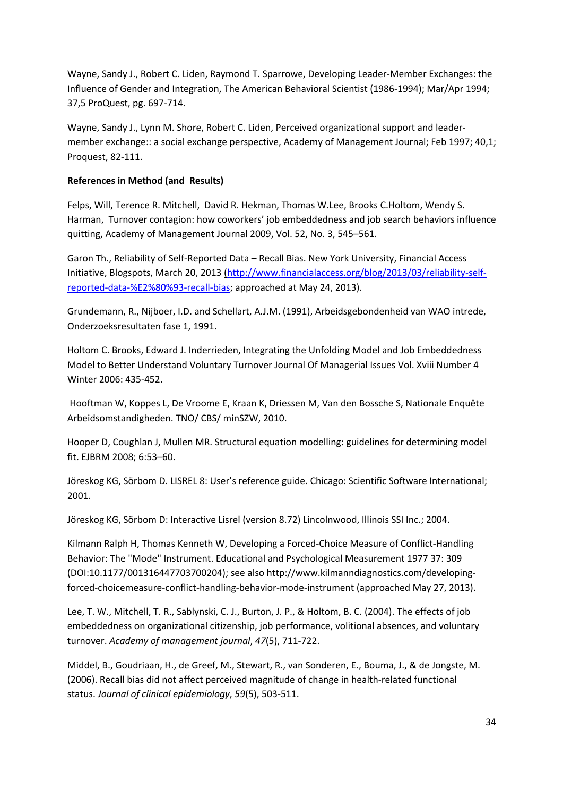Wayne, Sandy J., Robert C. Liden, Raymond T. Sparrowe, Developing Leader-Member Exchanges: the Influence of Gender and Integration, The American Behavioral Scientist (1986-1994); Mar/Apr 1994; 37,5 ProQuest, pg. 697-714.

Wayne, Sandy J., Lynn M. Shore, Robert C. Liden, Perceived organizational support and leadermember exchange:: a social exchange perspective, Academy of Management Journal; Feb 1997; 40,1; Proquest, 82-111.

## **References in Method (and Results)**

Felps, Will, Terence R. Mitchell, David R. Hekman, Thomas W.Lee, Brooks C.Holtom, Wendy S. Harman, Turnover contagion: how coworkers' job embeddedness and job search behaviors influence quitting, Academy of Management Journal 2009, Vol. 52, No. 3, 545–561.

Garon Th., Reliability of Self-Reported Data – Recall Bias. New York University, Financial Access Initiative, Blogspots, March 20, 2013 (http://www.financialaccess.org/blog/2013/03/reliability-selfreported-data-%E2%80%93-recall-bias; approached at May 24, 2013).

Grundemann, R., Nijboer, I.D. and Schellart, A.J.M. (1991), Arbeidsgebondenheid van WAO intrede, Onderzoeksresultaten fase 1, 1991.

Holtom C. Brooks, Edward J. Inderrieden, Integrating the Unfolding Model and Job Embeddedness Model to Better Understand Voluntary Turnover Journal Of Managerial Issues Vol. Xviii Number 4 Winter 2006: 435-452.

Hooftman W, Koppes L, De Vroome E, Kraan K, Driessen M, Van den Bossche S, Nationale Enquête Arbeidsomstandigheden. TNO/ CBS/ minSZW, 2010.

Hooper D, Coughlan J, Mullen MR. Structural equation modelling: guidelines for determining model fit. EJBRM 2008; 6:53–60.

Jöreskog KG, Sörbom D. LISREL 8: User's reference guide. Chicago: Scientific Software International; 2001.

Jöreskog KG, Sörbom D: Interactive Lisrel (version 8.72) Lincolnwood, Illinois SSI Inc.; 2004.

Kilmann Ralph H, Thomas Kenneth W, Developing a Forced-Choice Measure of Conflict-Handling Behavior: The "Mode" Instrument. Educational and Psychological Measurement 1977 37: 309 (DOI:10.1177/001316447703700204); see also http://www.kilmanndiagnostics.com/developingforced-choicemeasure-conflict-handling-behavior-mode-instrument (approached May 27, 2013).

Lee, T. W., Mitchell, T. R., Sablynski, C. J., Burton, J. P., & Holtom, B. C. (2004). The effects of job embeddedness on organizational citizenship, job performance, volitional absences, and voluntary turnover. *Academy of management journal*, *47*(5), 711-722.

Middel, B., Goudriaan, H., de Greef, M., Stewart, R., van Sonderen, E., Bouma, J., & de Jongste, M. (2006). Recall bias did not affect perceived magnitude of change in health-related functional status. *Journal of clinical epidemiology*, *59*(5), 503-511.